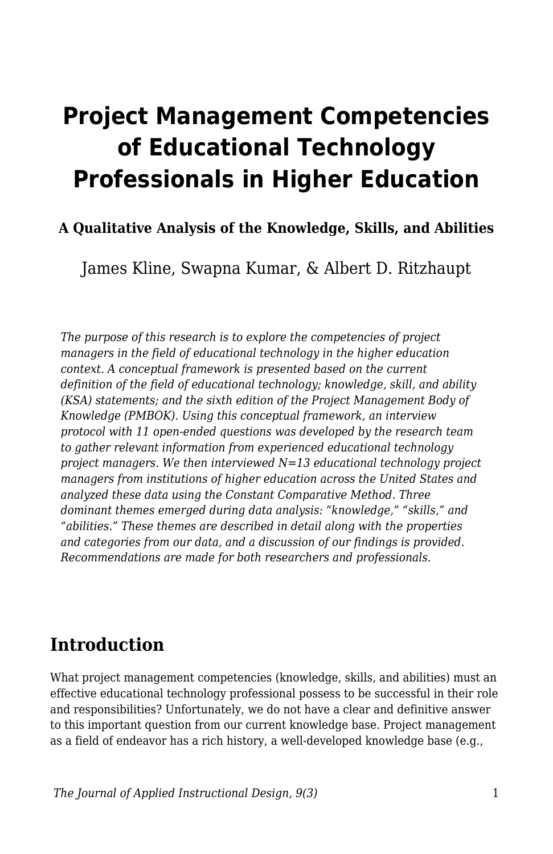# **Project Management Competencies of Educational Technology Professionals in Higher Education**

### **A Qualitative Analysis of the Knowledge, Skills, and Abilities**

James Kline, Swapna Kumar, & Albert D. Ritzhaupt

*The purpose of this research is to explore the competencies of project managers in the field of educational technology in the higher education context. A conceptual framework is presented based on the current definition of the field of educational technology; knowledge, skill, and ability (KSA) statements; and the sixth edition of the Project Management Body of Knowledge (PMBOK). Using this conceptual framework, an interview protocol with 11 open-ended questions was developed by the research team to gather relevant information from experienced educational technology project managers. We then interviewed N=13 educational technology project managers from institutions of higher education across the United States and analyzed these data using the Constant Comparative Method. Three dominant themes emerged during data analysis: "knowledge," "skills," and "abilities." These themes are described in detail along with the properties and categories from our data, and a discussion of our findings is provided. Recommendations are made for both researchers and professionals.*

## **Introduction**

What project management competencies (knowledge, skills, and abilities) must an effective educational technology professional possess to be successful in their role and responsibilities? Unfortunately, we do not have a clear and definitive answer to this important question from our current knowledge base. Project management as a field of endeavor has a rich history, a well-developed knowledge base (e.g.,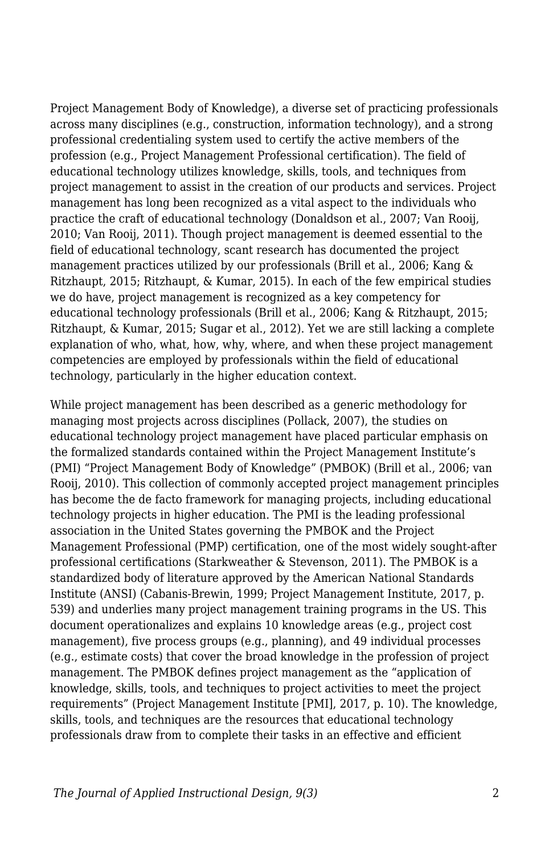Project Management Body of Knowledge), a diverse set of practicing professionals across many disciplines (e.g., construction, information technology), and a strong professional credentialing system used to certify the active members of the profession (e.g., Project Management Professional certification). The field of educational technology utilizes knowledge, skills, tools, and techniques from project management to assist in the creation of our products and services. Project management has long been recognized as a vital aspect to the individuals who practice the craft of educational technology (Donaldson et al., 2007; Van Rooij, 2010; Van Rooij, 2011). Though project management is deemed essential to the field of educational technology, scant research has documented the project management practices utilized by our professionals (Brill et al., 2006; Kang & Ritzhaupt, 2015; Ritzhaupt, & Kumar, 2015). In each of the few empirical studies we do have, project management is recognized as a key competency for educational technology professionals (Brill et al., 2006; Kang & Ritzhaupt, 2015; Ritzhaupt, & Kumar, 2015; Sugar et al., 2012). Yet we are still lacking a complete explanation of who, what, how, why, where, and when these project management competencies are employed by professionals within the field of educational technology, particularly in the higher education context.

While project management has been described as a generic methodology for managing most projects across disciplines (Pollack, 2007), the studies on educational technology project management have placed particular emphasis on the formalized standards contained within the Project Management Institute's (PMI) "Project Management Body of Knowledge" (PMBOK) (Brill et al., 2006; van Rooij, 2010). This collection of commonly accepted project management principles has become the de facto framework for managing projects, including educational technology projects in higher education. The PMI is the leading professional association in the United States governing the PMBOK and the Project Management Professional (PMP) certification, one of the most widely sought-after professional certifications (Starkweather & Stevenson, 2011). The PMBOK is a standardized body of literature approved by the American National Standards Institute (ANSI) (Cabanis-Brewin, 1999; Project Management Institute, 2017, p. 539) and underlies many project management training programs in the US. This document operationalizes and explains 10 knowledge areas (e.g., project cost management), five process groups (e.g., planning), and 49 individual processes (e.g., estimate costs) that cover the broad knowledge in the profession of project management. The PMBOK defines project management as the "application of knowledge, skills, tools, and techniques to project activities to meet the project requirements" (Project Management Institute [PMI], 2017, p. 10). The knowledge, skills, tools, and techniques are the resources that educational technology professionals draw from to complete their tasks in an effective and efficient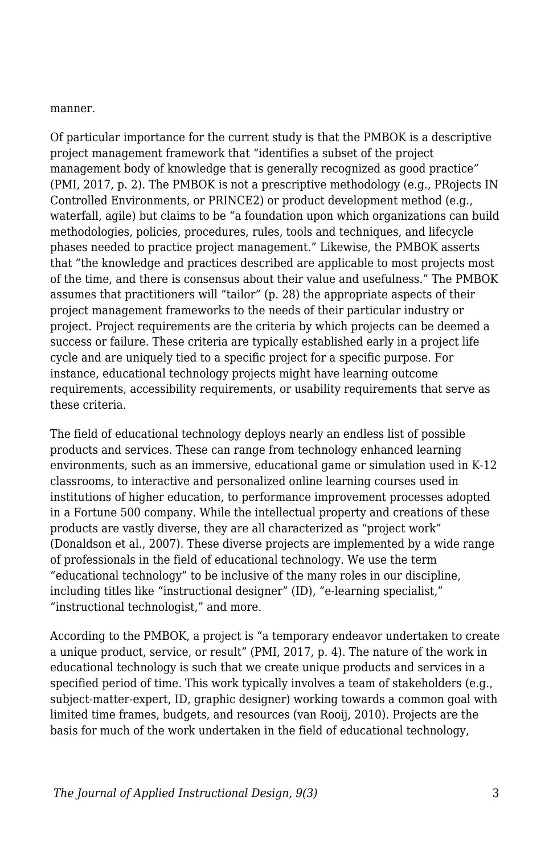manner.

Of particular importance for the current study is that the PMBOK is a descriptive project management framework that "identifies a subset of the project management body of knowledge that is generally recognized as good practice" (PMI, 2017, p. 2). The PMBOK is not a prescriptive methodology (e.g., PRojects IN Controlled Environments, or PRINCE2) or product development method (e.g., waterfall, agile) but claims to be "a foundation upon which organizations can build methodologies, policies, procedures, rules, tools and techniques, and lifecycle phases needed to practice project management." Likewise, the PMBOK asserts that "the knowledge and practices described are applicable to most projects most of the time, and there is consensus about their value and usefulness." The PMBOK assumes that practitioners will "tailor" (p. 28) the appropriate aspects of their project management frameworks to the needs of their particular industry or project. Project requirements are the criteria by which projects can be deemed a success or failure. These criteria are typically established early in a project life cycle and are uniquely tied to a specific project for a specific purpose. For instance, educational technology projects might have learning outcome requirements, accessibility requirements, or usability requirements that serve as these criteria.

The field of educational technology deploys nearly an endless list of possible products and services. These can range from technology enhanced learning environments, such as an immersive, educational game or simulation used in K-12 classrooms, to interactive and personalized online learning courses used in institutions of higher education, to performance improvement processes adopted in a Fortune 500 company. While the intellectual property and creations of these products are vastly diverse, they are all characterized as "project work" (Donaldson et al., 2007). These diverse projects are implemented by a wide range of professionals in the field of educational technology. We use the term "educational technology" to be inclusive of the many roles in our discipline, including titles like "instructional designer" (ID), "e-learning specialist," "instructional technologist," and more.

According to the PMBOK, a project is "a temporary endeavor undertaken to create a unique product, service, or result" (PMI, 2017, p. 4). The nature of the work in educational technology is such that we create unique products and services in a specified period of time. This work typically involves a team of stakeholders (e.g., subject-matter-expert, ID, graphic designer) working towards a common goal with limited time frames, budgets, and resources (van Rooij, 2010). Projects are the basis for much of the work undertaken in the field of educational technology,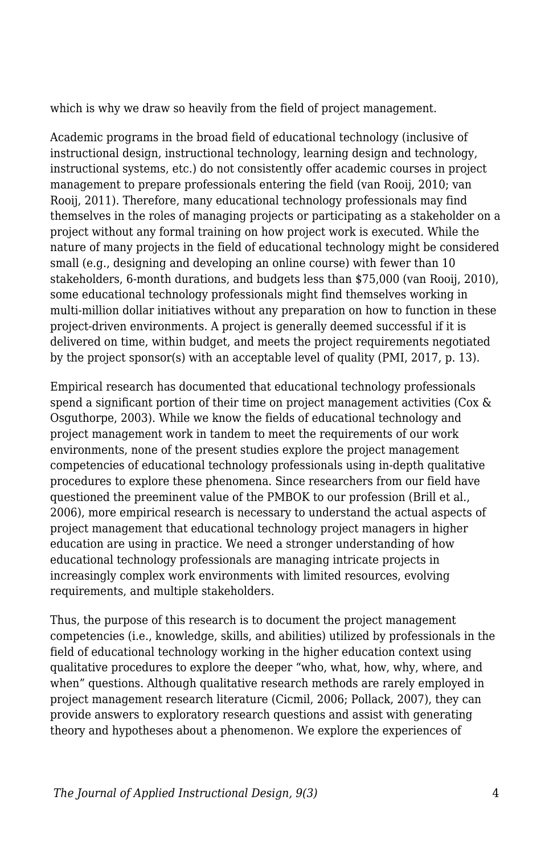which is why we draw so heavily from the field of project management.

Academic programs in the broad field of educational technology (inclusive of instructional design, instructional technology, learning design and technology, instructional systems, etc.) do not consistently offer academic courses in project management to prepare professionals entering the field (van Rooij, 2010; van Rooij, 2011). Therefore, many educational technology professionals may find themselves in the roles of managing projects or participating as a stakeholder on a project without any formal training on how project work is executed. While the nature of many projects in the field of educational technology might be considered small (e.g., designing and developing an online course) with fewer than 10 stakeholders, 6-month durations, and budgets less than \$75,000 (van Rooij, 2010), some educational technology professionals might find themselves working in multi-million dollar initiatives without any preparation on how to function in these project-driven environments. A project is generally deemed successful if it is delivered on time, within budget, and meets the project requirements negotiated by the project sponsor(s) with an acceptable level of quality (PMI, 2017, p. 13).

Empirical research has documented that educational technology professionals spend a significant portion of their time on project management activities (Cox & Osguthorpe, 2003). While we know the fields of educational technology and project management work in tandem to meet the requirements of our work environments, none of the present studies explore the project management competencies of educational technology professionals using in-depth qualitative procedures to explore these phenomena. Since researchers from our field have questioned the preeminent value of the PMBOK to our profession (Brill et al., 2006), more empirical research is necessary to understand the actual aspects of project management that educational technology project managers in higher education are using in practice. We need a stronger understanding of how educational technology professionals are managing intricate projects in increasingly complex work environments with limited resources, evolving requirements, and multiple stakeholders.

Thus, the purpose of this research is to document the project management competencies (i.e., knowledge, skills, and abilities) utilized by professionals in the field of educational technology working in the higher education context using qualitative procedures to explore the deeper "who, what, how, why, where, and when" questions. Although qualitative research methods are rarely employed in project management research literature (Cicmil, 2006; Pollack, 2007), they can provide answers to exploratory research questions and assist with generating theory and hypotheses about a phenomenon. We explore the experiences of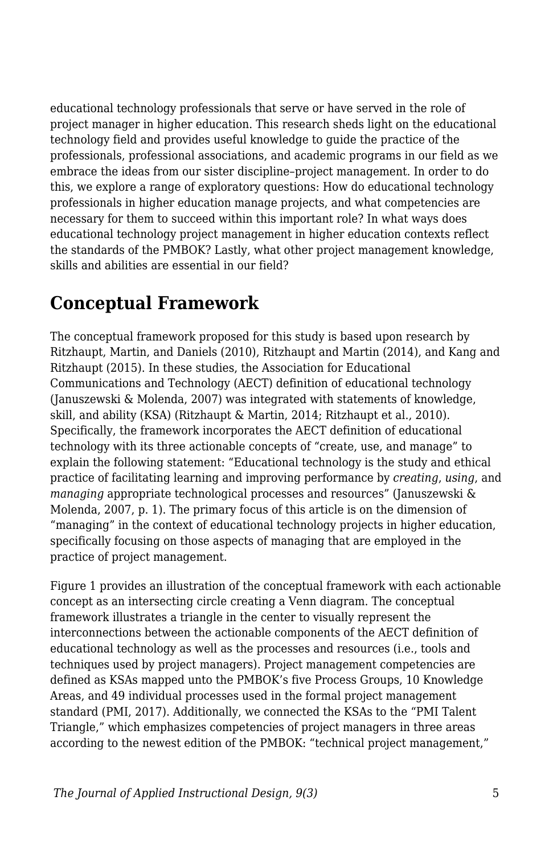educational technology professionals that serve or have served in the role of project manager in higher education. This research sheds light on the educational technology field and provides useful knowledge to guide the practice of the professionals, professional associations, and academic programs in our field as we embrace the ideas from our sister discipline–project management. In order to do this, we explore a range of exploratory questions: How do educational technology professionals in higher education manage projects, and what competencies are necessary for them to succeed within this important role? In what ways does educational technology project management in higher education contexts reflect the standards of the PMBOK? Lastly, what other project management knowledge, skills and abilities are essential in our field?

## **Conceptual Framework**

The conceptual framework proposed for this study is based upon research by Ritzhaupt, Martin, and Daniels (2010), Ritzhaupt and Martin (2014), and Kang and Ritzhaupt (2015). In these studies, the Association for Educational Communications and Technology (AECT) definition of educational technology (Januszewski & Molenda, 2007) was integrated with statements of knowledge, skill, and ability (KSA) (Ritzhaupt & Martin, 2014; Ritzhaupt et al., 2010). Specifically, the framework incorporates the AECT definition of educational technology with its three actionable concepts of "create, use, and manage" to explain the following statement: "Educational technology is the study and ethical practice of facilitating learning and improving performance by *creating*, *using*, and *managing* appropriate technological processes and resources" (Januszewski & Molenda, 2007, p. 1). The primary focus of this article is on the dimension of "managing" in the context of educational technology projects in higher education, specifically focusing on those aspects of managing that are employed in the practice of project management.

Figure 1 provides an illustration of the conceptual framework with each actionable concept as an intersecting circle creating a Venn diagram. The conceptual framework illustrates a triangle in the center to visually represent the interconnections between the actionable components of the AECT definition of educational technology as well as the processes and resources (i.e., tools and techniques used by project managers). Project management competencies are defined as KSAs mapped unto the PMBOK's five Process Groups, 10 Knowledge Areas, and 49 individual processes used in the formal project management standard (PMI, 2017). Additionally, we connected the KSAs to the "PMI Talent Triangle," which emphasizes competencies of project managers in three areas according to the newest edition of the PMBOK: "technical project management,"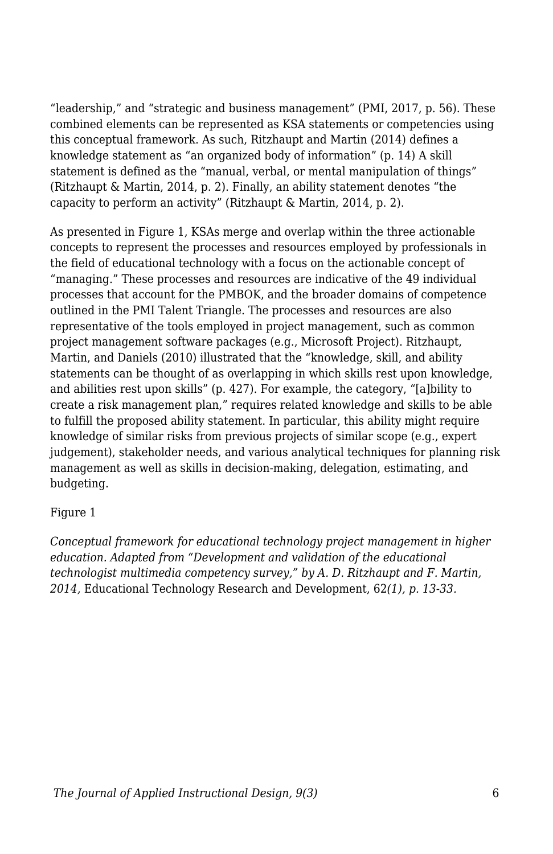"leadership," and "strategic and business management" (PMI, 2017, p. 56). These combined elements can be represented as KSA statements or competencies using this conceptual framework. As such, Ritzhaupt and Martin (2014) defines a knowledge statement as "an organized body of information" (p. 14) A skill statement is defined as the "manual, verbal, or mental manipulation of things" (Ritzhaupt & Martin, 2014, p. 2). Finally, an ability statement denotes "the capacity to perform an activity" (Ritzhaupt & Martin, 2014, p. 2).

As presented in Figure 1, KSAs merge and overlap within the three actionable concepts to represent the processes and resources employed by professionals in the field of educational technology with a focus on the actionable concept of "managing." These processes and resources are indicative of the 49 individual processes that account for the PMBOK, and the broader domains of competence outlined in the PMI Talent Triangle. The processes and resources are also representative of the tools employed in project management, such as common project management software packages (e.g., Microsoft Project). Ritzhaupt, Martin, and Daniels (2010) illustrated that the "knowledge, skill, and ability statements can be thought of as overlapping in which skills rest upon knowledge, and abilities rest upon skills" (p. 427). For example, the category, "[a]bility to create a risk management plan," requires related knowledge and skills to be able to fulfill the proposed ability statement. In particular, this ability might require knowledge of similar risks from previous projects of similar scope (e.g., expert judgement), stakeholder needs, and various analytical techniques for planning risk management as well as skills in decision-making, delegation, estimating, and budgeting.

#### Figure 1

*Conceptual framework for educational technology project management in higher education. Adapted from "Development and validation of the educational technologist multimedia competency survey," by A. D. Ritzhaupt and F. Martin, 2014,* Educational Technology Research and Development, 62*(1), p. 13-33.*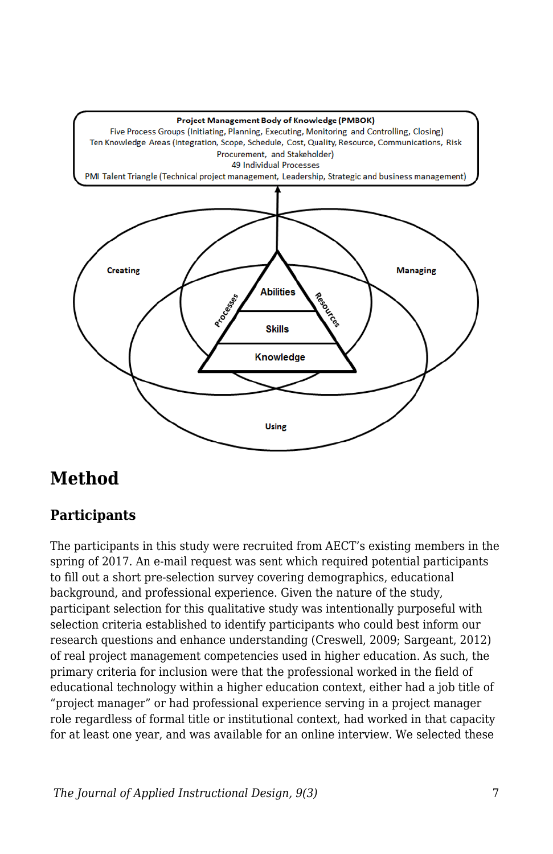

## **Method**

## **Participants**

The participants in this study were recruited from AECT's existing members in the spring of 2017. An e-mail request was sent which required potential participants to fill out a short pre-selection survey covering demographics, educational background, and professional experience. Given the nature of the study, participant selection for this qualitative study was intentionally purposeful with selection criteria established to identify participants who could best inform our research questions and enhance understanding (Creswell, 2009; Sargeant, 2012) of real project management competencies used in higher education. As such, the primary criteria for inclusion were that the professional worked in the field of educational technology within a higher education context, either had a job title of "project manager" or had professional experience serving in a project manager role regardless of formal title or institutional context, had worked in that capacity for at least one year, and was available for an online interview. We selected these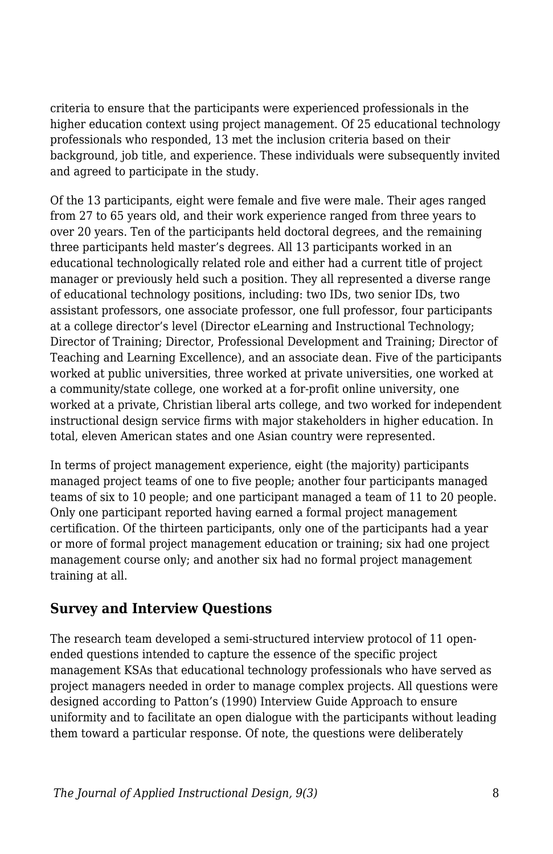criteria to ensure that the participants were experienced professionals in the higher education context using project management. Of 25 educational technology professionals who responded, 13 met the inclusion criteria based on their background, job title, and experience. These individuals were subsequently invited and agreed to participate in the study.

Of the 13 participants, eight were female and five were male. Their ages ranged from 27 to 65 years old, and their work experience ranged from three years to over 20 years. Ten of the participants held doctoral degrees, and the remaining three participants held master's degrees. All 13 participants worked in an educational technologically related role and either had a current title of project manager or previously held such a position. They all represented a diverse range of educational technology positions, including: two IDs, two senior IDs, two assistant professors, one associate professor, one full professor, four participants at a college director's level (Director eLearning and Instructional Technology; Director of Training; Director, Professional Development and Training; Director of Teaching and Learning Excellence), and an associate dean. Five of the participants worked at public universities, three worked at private universities, one worked at a community/state college, one worked at a for-profit online university, one worked at a private, Christian liberal arts college, and two worked for independent instructional design service firms with major stakeholders in higher education. In total, eleven American states and one Asian country were represented.

In terms of project management experience, eight (the majority) participants managed project teams of one to five people; another four participants managed teams of six to 10 people; and one participant managed a team of 11 to 20 people. Only one participant reported having earned a formal project management certification. Of the thirteen participants, only one of the participants had a year or more of formal project management education or training; six had one project management course only; and another six had no formal project management training at all.

### **Survey and Interview Questions**

The research team developed a semi-structured interview protocol of 11 openended questions intended to capture the essence of the specific project management KSAs that educational technology professionals who have served as project managers needed in order to manage complex projects. All questions were designed according to Patton's (1990) Interview Guide Approach to ensure uniformity and to facilitate an open dialogue with the participants without leading them toward a particular response. Of note, the questions were deliberately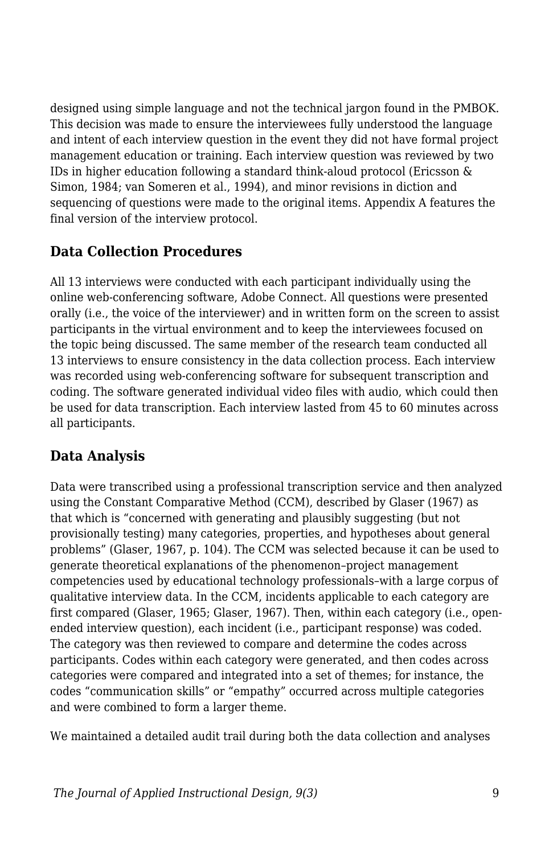designed using simple language and not the technical jargon found in the PMBOK. This decision was made to ensure the interviewees fully understood the language and intent of each interview question in the event they did not have formal project management education or training. Each interview question was reviewed by two IDs in higher education following a standard think-aloud protocol (Ericsson & Simon, 1984; van Someren et al., 1994), and minor revisions in diction and sequencing of questions were made to the original items. Appendix A features the final version of the interview protocol.

## **Data Collection Procedures**

All 13 interviews were conducted with each participant individually using the online web-conferencing software, Adobe Connect. All questions were presented orally (i.e., the voice of the interviewer) and in written form on the screen to assist participants in the virtual environment and to keep the interviewees focused on the topic being discussed. The same member of the research team conducted all 13 interviews to ensure consistency in the data collection process. Each interview was recorded using web-conferencing software for subsequent transcription and coding. The software generated individual video files with audio, which could then be used for data transcription. Each interview lasted from 45 to 60 minutes across all participants.

### **Data Analysis**

Data were transcribed using a professional transcription service and then analyzed using the Constant Comparative Method (CCM), described by Glaser (1967) as that which is "concerned with generating and plausibly suggesting (but not provisionally testing) many categories, properties, and hypotheses about general problems" (Glaser, 1967, p. 104). The CCM was selected because it can be used to generate theoretical explanations of the phenomenon–project management competencies used by educational technology professionals–with a large corpus of qualitative interview data. In the CCM, incidents applicable to each category are first compared (Glaser, 1965; Glaser, 1967). Then, within each category (i.e., openended interview question), each incident (i.e., participant response) was coded. The category was then reviewed to compare and determine the codes across participants. Codes within each category were generated, and then codes across categories were compared and integrated into a set of themes; for instance, the codes "communication skills" or "empathy" occurred across multiple categories and were combined to form a larger theme.

We maintained a detailed audit trail during both the data collection and analyses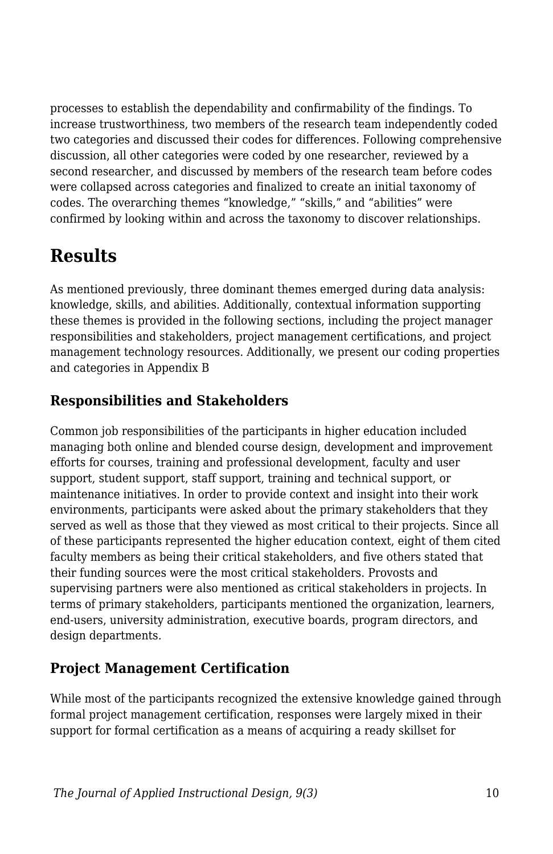processes to establish the dependability and confirmability of the findings. To increase trustworthiness, two members of the research team independently coded two categories and discussed their codes for differences. Following comprehensive discussion, all other categories were coded by one researcher, reviewed by a second researcher, and discussed by members of the research team before codes were collapsed across categories and finalized to create an initial taxonomy of codes. The overarching themes "knowledge," "skills," and "abilities" were confirmed by looking within and across the taxonomy to discover relationships.

## **Results**

As mentioned previously, three dominant themes emerged during data analysis: knowledge, skills, and abilities. Additionally, contextual information supporting these themes is provided in the following sections, including the project manager responsibilities and stakeholders, project management certifications, and project management technology resources. Additionally, we present our coding properties and categories in Appendix B

## **Responsibilities and Stakeholders**

Common job responsibilities of the participants in higher education included managing both online and blended course design, development and improvement efforts for courses, training and professional development, faculty and user support, student support, staff support, training and technical support, or maintenance initiatives. In order to provide context and insight into their work environments, participants were asked about the primary stakeholders that they served as well as those that they viewed as most critical to their projects. Since all of these participants represented the higher education context, eight of them cited faculty members as being their critical stakeholders, and five others stated that their funding sources were the most critical stakeholders. Provosts and supervising partners were also mentioned as critical stakeholders in projects. In terms of primary stakeholders, participants mentioned the organization, learners, end-users, university administration, executive boards, program directors, and design departments.

## **Project Management Certification**

While most of the participants recognized the extensive knowledge gained through formal project management certification, responses were largely mixed in their support for formal certification as a means of acquiring a ready skillset for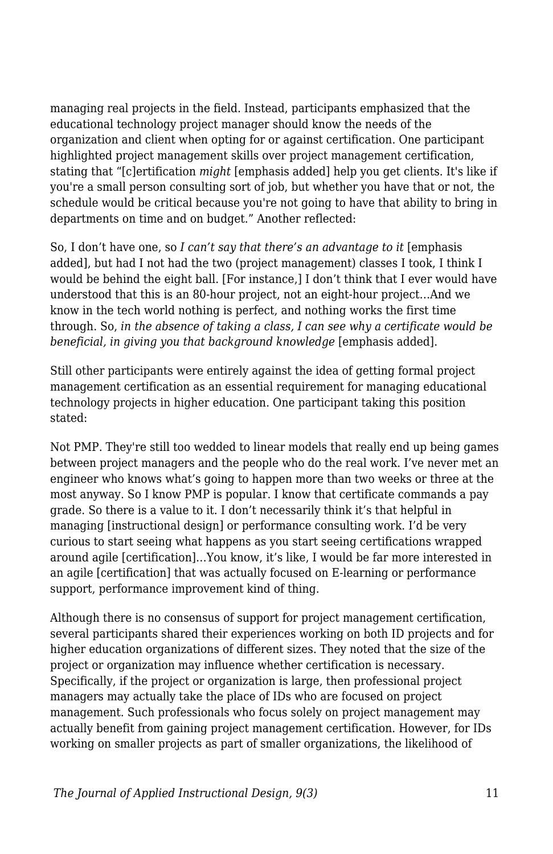managing real projects in the field. Instead, participants emphasized that the educational technology project manager should know the needs of the organization and client when opting for or against certification. One participant highlighted project management skills over project management certification, stating that "[c]ertification *might* [emphasis added] help you get clients. It's like if you're a small person consulting sort of job, but whether you have that or not, the schedule would be critical because you're not going to have that ability to bring in departments on time and on budget." Another reflected:

So, I don't have one, so *I can't say that there's an advantage to it* [emphasis added], but had I not had the two (project management) classes I took, I think I would be behind the eight ball. [For instance,] I don't think that I ever would have understood that this is an 80-hour project, not an eight-hour project…And we know in the tech world nothing is perfect, and nothing works the first time through. So, *in the absence of taking a class, I can see why a certificate would be beneficial, in giving you that background knowledge* [emphasis added].

Still other participants were entirely against the idea of getting formal project management certification as an essential requirement for managing educational technology projects in higher education. One participant taking this position stated:

Not PMP. They're still too wedded to linear models that really end up being games between project managers and the people who do the real work. I've never met an engineer who knows what's going to happen more than two weeks or three at the most anyway. So I know PMP is popular. I know that certificate commands a pay grade. So there is a value to it. I don't necessarily think it's that helpful in managing [instructional design] or performance consulting work. I'd be very curious to start seeing what happens as you start seeing certifications wrapped around agile [certification]…You know, it's like, I would be far more interested in an agile [certification] that was actually focused on E-learning or performance support, performance improvement kind of thing.

Although there is no consensus of support for project management certification, several participants shared their experiences working on both ID projects and for higher education organizations of different sizes. They noted that the size of the project or organization may influence whether certification is necessary. Specifically, if the project or organization is large, then professional project managers may actually take the place of IDs who are focused on project management. Such professionals who focus solely on project management may actually benefit from gaining project management certification. However, for IDs working on smaller projects as part of smaller organizations, the likelihood of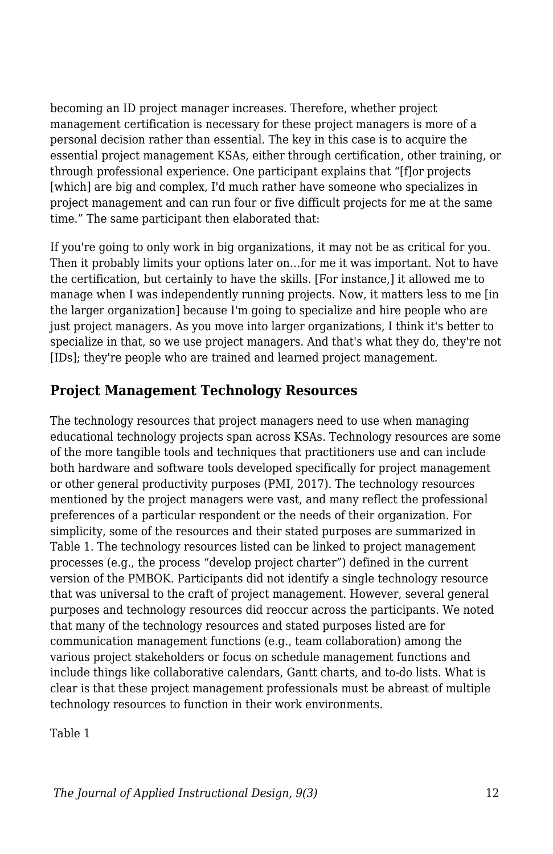becoming an ID project manager increases. Therefore, whether project management certification is necessary for these project managers is more of a personal decision rather than essential. The key in this case is to acquire the essential project management KSAs, either through certification, other training, or through professional experience. One participant explains that "[f]or projects [which] are big and complex, I'd much rather have someone who specializes in project management and can run four or five difficult projects for me at the same time." The same participant then elaborated that:

If you're going to only work in big organizations, it may not be as critical for you. Then it probably limits your options later on…for me it was important. Not to have the certification, but certainly to have the skills. [For instance,] it allowed me to manage when I was independently running projects. Now, it matters less to me [in the larger organization] because I'm going to specialize and hire people who are just project managers. As you move into larger organizations, I think it's better to specialize in that, so we use project managers. And that's what they do, they're not [IDs]; they're people who are trained and learned project management.

### **Project Management Technology Resources**

The technology resources that project managers need to use when managing educational technology projects span across KSAs. Technology resources are some of the more tangible tools and techniques that practitioners use and can include both hardware and software tools developed specifically for project management or other general productivity purposes (PMI, 2017). The technology resources mentioned by the project managers were vast, and many reflect the professional preferences of a particular respondent or the needs of their organization. For simplicity, some of the resources and their stated purposes are summarized in Table 1. The technology resources listed can be linked to project management processes (e.g., the process "develop project charter") defined in the current version of the PMBOK. Participants did not identify a single technology resource that was universal to the craft of project management. However, several general purposes and technology resources did reoccur across the participants. We noted that many of the technology resources and stated purposes listed are for communication management functions (e.g., team collaboration) among the various project stakeholders or focus on schedule management functions and include things like collaborative calendars, Gantt charts, and to-do lists. What is clear is that these project management professionals must be abreast of multiple technology resources to function in their work environments.

Table 1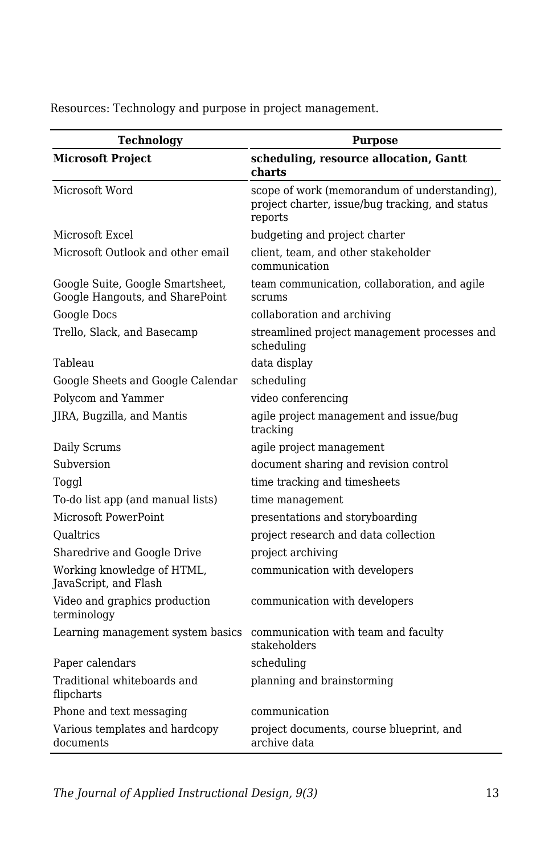**Technology Purpose Microsoft Project scheduling, resource allocation, Gantt charts** Microsoft Word scope of work (memorandum of understanding), project charter, issue/bug tracking, and status reports Microsoft Excel budgeting and project charter Microsoft Outlook and other email client, team, and other stakeholder communication Google Suite, Google Smartsheet, Google Hangouts, and SharePoint team communication, collaboration, and agile scrums Google Docs collaboration and archiving Trello, Slack, and Basecamp streamlined project management processes and scheduling Tableau data display Google Sheets and Google Calendar scheduling Polycom and Yammer video conferencing JIRA, Bugzilla, and Mantis agile project management and issue/bug tracking Daily Scrums agile project management Subversion document sharing and revision control Toggl time tracking and timesheets To-do list app (and manual lists) time management Microsoft PowerPoint presentations and storyboarding Qualtrics project research and data collection Sharedrive and Google Drive project archiving Working knowledge of HTML, JavaScript, and Flash communication with developers Video and graphics production terminology communication with developers Learning management system basics communication with team and faculty stakeholders Paper calendars scheduling Traditional whiteboards and flipcharts planning and brainstorming Phone and text messaging communication Various templates and hardcopy documents project documents, course blueprint, and archive data

Resources: Technology and purpose in project management.

*The Journal of Applied Instructional Design, 9(3)* 13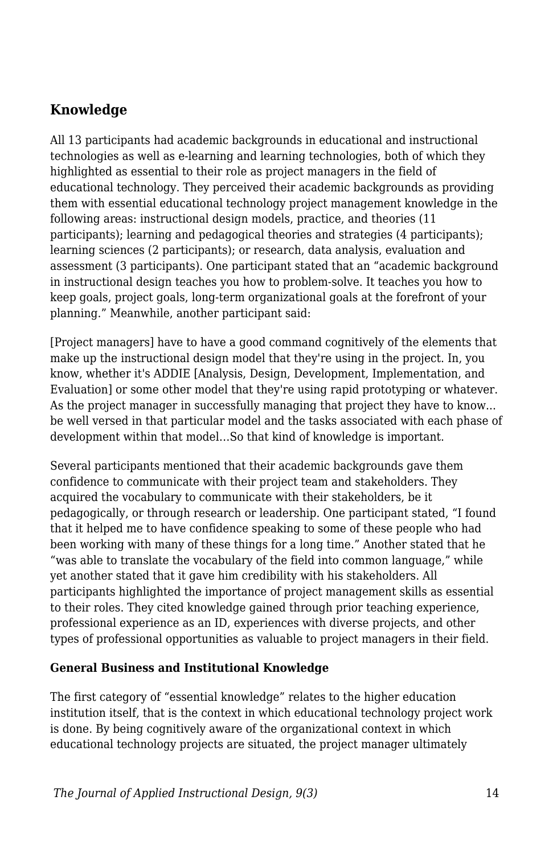## **Knowledge**

All 13 participants had academic backgrounds in educational and instructional technologies as well as e-learning and learning technologies, both of which they highlighted as essential to their role as project managers in the field of educational technology. They perceived their academic backgrounds as providing them with essential educational technology project management knowledge in the following areas: instructional design models, practice, and theories (11 participants); learning and pedagogical theories and strategies (4 participants); learning sciences (2 participants); or research, data analysis, evaluation and assessment (3 participants). One participant stated that an "academic background in instructional design teaches you how to problem-solve. It teaches you how to keep goals, project goals, long-term organizational goals at the forefront of your planning." Meanwhile, another participant said:

[Project managers] have to have a good command cognitively of the elements that make up the instructional design model that they're using in the project. In, you know, whether it's ADDIE [Analysis, Design, Development, Implementation, and Evaluation] or some other model that they're using rapid prototyping or whatever. As the project manager in successfully managing that project they have to know... be well versed in that particular model and the tasks associated with each phase of development within that model…So that kind of knowledge is important.

Several participants mentioned that their academic backgrounds gave them confidence to communicate with their project team and stakeholders. They acquired the vocabulary to communicate with their stakeholders, be it pedagogically, or through research or leadership. One participant stated, "I found that it helped me to have confidence speaking to some of these people who had been working with many of these things for a long time." Another stated that he "was able to translate the vocabulary of the field into common language," while yet another stated that it gave him credibility with his stakeholders. All participants highlighted the importance of project management skills as essential to their roles. They cited knowledge gained through prior teaching experience, professional experience as an ID, experiences with diverse projects, and other types of professional opportunities as valuable to project managers in their field.

#### **General Business and Institutional Knowledge**

The first category of "essential knowledge" relates to the higher education institution itself, that is the context in which educational technology project work is done. By being cognitively aware of the organizational context in which educational technology projects are situated, the project manager ultimately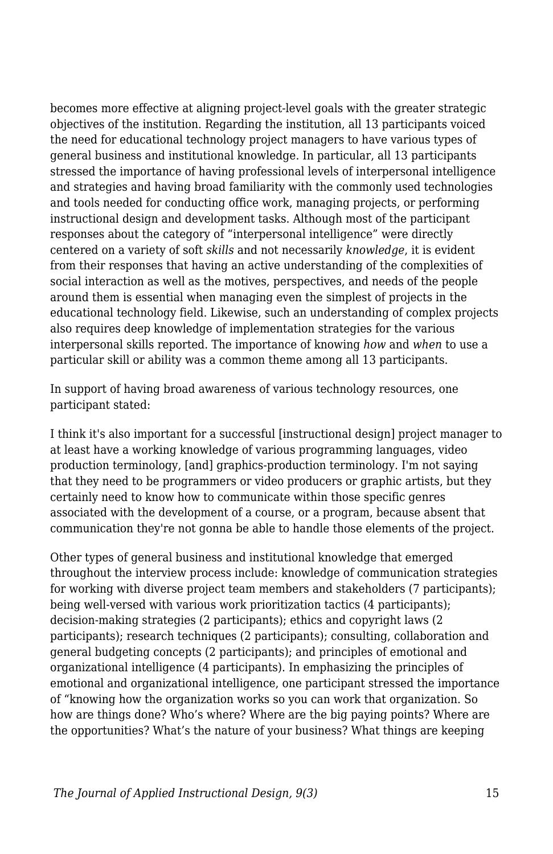becomes more effective at aligning project-level goals with the greater strategic objectives of the institution. Regarding the institution, all 13 participants voiced the need for educational technology project managers to have various types of general business and institutional knowledge. In particular, all 13 participants stressed the importance of having professional levels of interpersonal intelligence and strategies and having broad familiarity with the commonly used technologies and tools needed for conducting office work, managing projects, or performing instructional design and development tasks. Although most of the participant responses about the category of "interpersonal intelligence" were directly centered on a variety of soft *skills* and not necessarily *knowledge*, it is evident from their responses that having an active understanding of the complexities of social interaction as well as the motives, perspectives, and needs of the people around them is essential when managing even the simplest of projects in the educational technology field. Likewise, such an understanding of complex projects also requires deep knowledge of implementation strategies for the various interpersonal skills reported. The importance of knowing *how* and *when* to use a particular skill or ability was a common theme among all 13 participants.

In support of having broad awareness of various technology resources, one participant stated:

I think it's also important for a successful [instructional design] project manager to at least have a working knowledge of various programming languages, video production terminology, [and] graphics-production terminology. I'm not saying that they need to be programmers or video producers or graphic artists, but they certainly need to know how to communicate within those specific genres associated with the development of a course, or a program, because absent that communication they're not gonna be able to handle those elements of the project.

Other types of general business and institutional knowledge that emerged throughout the interview process include: knowledge of communication strategies for working with diverse project team members and stakeholders (7 participants); being well-versed with various work prioritization tactics (4 participants); decision-making strategies (2 participants); ethics and copyright laws (2 participants); research techniques (2 participants); consulting, collaboration and general budgeting concepts (2 participants); and principles of emotional and organizational intelligence (4 participants). In emphasizing the principles of emotional and organizational intelligence, one participant stressed the importance of "knowing how the organization works so you can work that organization. So how are things done? Who's where? Where are the big paying points? Where are the opportunities? What's the nature of your business? What things are keeping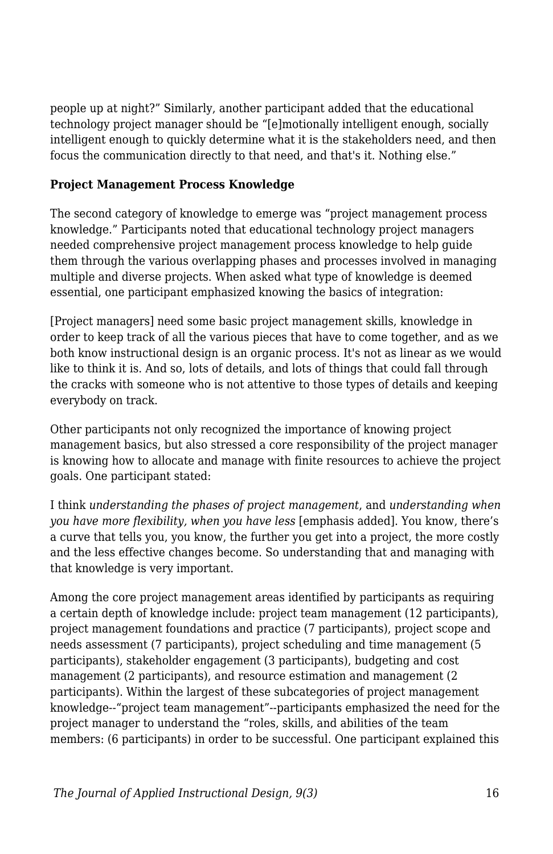people up at night?" Similarly, another participant added that the educational technology project manager should be "[e]motionally intelligent enough, socially intelligent enough to quickly determine what it is the stakeholders need, and then focus the communication directly to that need, and that's it. Nothing else."

#### **Project Management Process Knowledge**

The second category of knowledge to emerge was "project management process knowledge." Participants noted that educational technology project managers needed comprehensive project management process knowledge to help guide them through the various overlapping phases and processes involved in managing multiple and diverse projects. When asked what type of knowledge is deemed essential, one participant emphasized knowing the basics of integration:

[Project managers] need some basic project management skills, knowledge in order to keep track of all the various pieces that have to come together, and as we both know instructional design is an organic process. It's not as linear as we would like to think it is. And so, lots of details, and lots of things that could fall through the cracks with someone who is not attentive to those types of details and keeping everybody on track.

Other participants not only recognized the importance of knowing project management basics, but also stressed a core responsibility of the project manager is knowing how to allocate and manage with finite resources to achieve the project goals. One participant stated:

I think *understanding the phases of project management*, and *understanding when you have more flexibility, when you have less* [emphasis added]. You know, there's a curve that tells you, you know, the further you get into a project, the more costly and the less effective changes become. So understanding that and managing with that knowledge is very important.

Among the core project management areas identified by participants as requiring a certain depth of knowledge include: project team management (12 participants), project management foundations and practice (7 participants), project scope and needs assessment (7 participants), project scheduling and time management (5 participants), stakeholder engagement (3 participants), budgeting and cost management (2 participants), and resource estimation and management (2 participants). Within the largest of these subcategories of project management knowledge--"project team management"--participants emphasized the need for the project manager to understand the "roles, skills, and abilities of the team members: (6 participants) in order to be successful. One participant explained this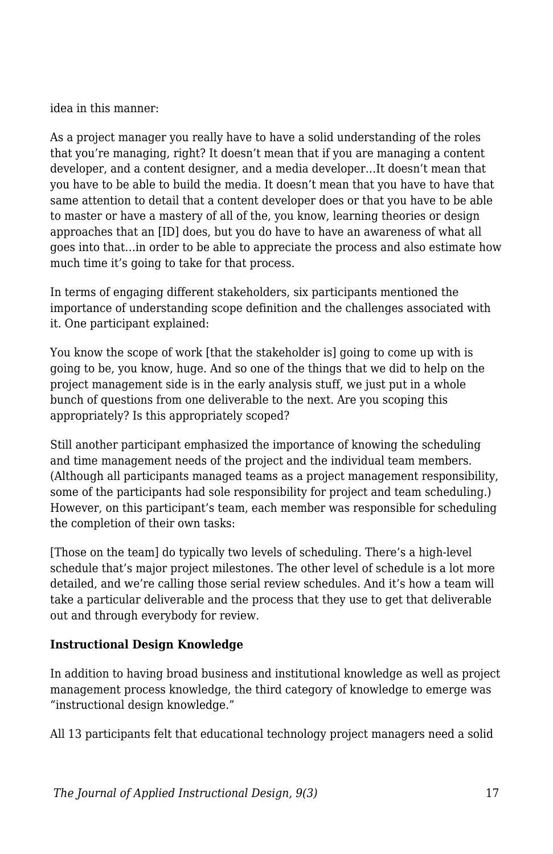idea in this manner:

As a project manager you really have to have a solid understanding of the roles that you're managing, right? It doesn't mean that if you are managing a content developer, and a content designer, and a media developer…It doesn't mean that you have to be able to build the media. It doesn't mean that you have to have that same attention to detail that a content developer does or that you have to be able to master or have a mastery of all of the, you know, learning theories or design approaches that an [ID] does, but you do have to have an awareness of what all goes into that…in order to be able to appreciate the process and also estimate how much time it's going to take for that process.

In terms of engaging different stakeholders, six participants mentioned the importance of understanding scope definition and the challenges associated with it. One participant explained:

You know the scope of work [that the stakeholder is] going to come up with is going to be, you know, huge. And so one of the things that we did to help on the project management side is in the early analysis stuff, we just put in a whole bunch of questions from one deliverable to the next. Are you scoping this appropriately? Is this appropriately scoped?

Still another participant emphasized the importance of knowing the scheduling and time management needs of the project and the individual team members. (Although all participants managed teams as a project management responsibility, some of the participants had sole responsibility for project and team scheduling.) However, on this participant's team, each member was responsible for scheduling the completion of their own tasks:

[Those on the team] do typically two levels of scheduling. There's a high-level schedule that's major project milestones. The other level of schedule is a lot more detailed, and we're calling those serial review schedules. And it's how a team will take a particular deliverable and the process that they use to get that deliverable out and through everybody for review.

#### **Instructional Design Knowledge**

In addition to having broad business and institutional knowledge as well as project management process knowledge, the third category of knowledge to emerge was "instructional design knowledge."

All 13 participants felt that educational technology project managers need a solid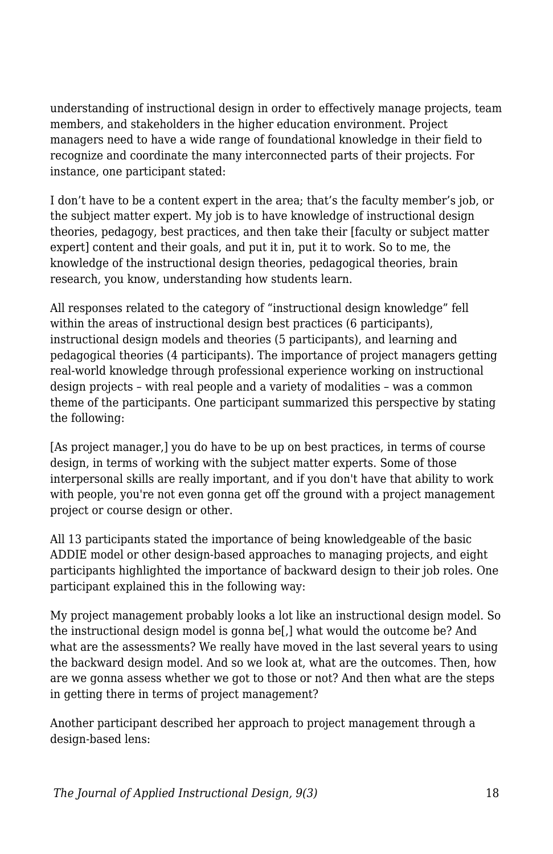understanding of instructional design in order to effectively manage projects, team members, and stakeholders in the higher education environment. Project managers need to have a wide range of foundational knowledge in their field to recognize and coordinate the many interconnected parts of their projects. For instance, one participant stated:

I don't have to be a content expert in the area; that's the faculty member's job, or the subject matter expert. My job is to have knowledge of instructional design theories, pedagogy, best practices, and then take their [faculty or subject matter expert] content and their goals, and put it in, put it to work. So to me, the knowledge of the instructional design theories, pedagogical theories, brain research, you know, understanding how students learn.

All responses related to the category of "instructional design knowledge" fell within the areas of instructional design best practices (6 participants), instructional design models and theories (5 participants), and learning and pedagogical theories (4 participants). The importance of project managers getting real-world knowledge through professional experience working on instructional design projects – with real people and a variety of modalities – was a common theme of the participants. One participant summarized this perspective by stating the following:

[As project manager,] you do have to be up on best practices, in terms of course design, in terms of working with the subject matter experts. Some of those interpersonal skills are really important, and if you don't have that ability to work with people, you're not even gonna get off the ground with a project management project or course design or other.

All 13 participants stated the importance of being knowledgeable of the basic ADDIE model or other design-based approaches to managing projects*,* and eight participants highlighted the importance of backward design to their job roles. One participant explained this in the following way:

My project management probably looks a lot like an instructional design model. So the instructional design model is gonna be[,] what would the outcome be? And what are the assessments? We really have moved in the last several years to using the backward design model. And so we look at, what are the outcomes. Then, how are we gonna assess whether we got to those or not? And then what are the steps in getting there in terms of project management?

Another participant described her approach to project management through a design-based lens: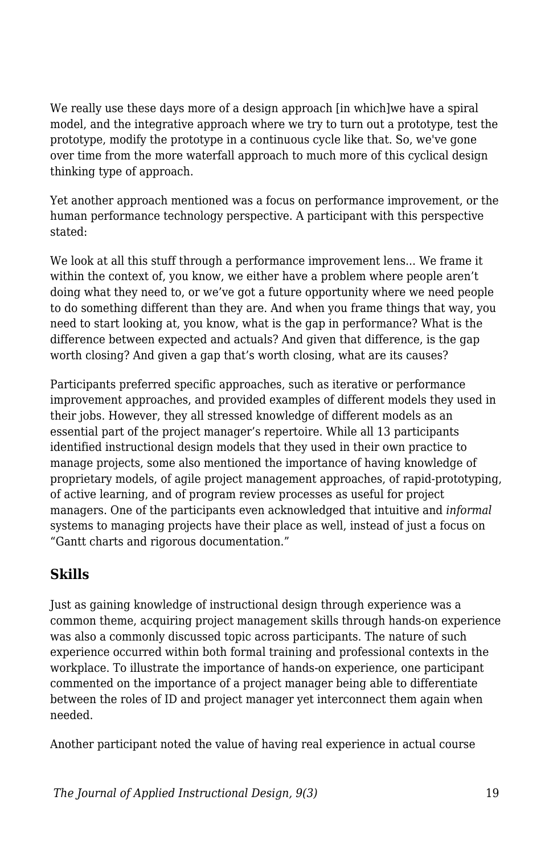We really use these days more of a design approach [in which]we have a spiral model, and the integrative approach where we try to turn out a prototype, test the prototype, modify the prototype in a continuous cycle like that. So, we've gone over time from the more waterfall approach to much more of this cyclical design thinking type of approach.

Yet another approach mentioned was a focus on performance improvement, or the human performance technology perspective. A participant with this perspective stated:

We look at all this stuff through a performance improvement lens... We frame it within the context of, you know, we either have a problem where people aren't doing what they need to, or we've got a future opportunity where we need people to do something different than they are. And when you frame things that way, you need to start looking at, you know, what is the gap in performance? What is the difference between expected and actuals? And given that difference, is the gap worth closing? And given a gap that's worth closing, what are its causes?

Participants preferred specific approaches, such as iterative or performance improvement approaches, and provided examples of different models they used in their jobs. However, they all stressed knowledge of different models as an essential part of the project manager's repertoire. While all 13 participants identified instructional design models that they used in their own practice to manage projects, some also mentioned the importance of having knowledge of proprietary models, of agile project management approaches, of rapid-prototyping, of active learning, and of program review processes as useful for project managers. One of the participants even acknowledged that intuitive and *informal* systems to managing projects have their place as well, instead of just a focus on "Gantt charts and rigorous documentation."

## **Skills**

Just as gaining knowledge of instructional design through experience was a common theme, acquiring project management skills through hands-on experience was also a commonly discussed topic across participants. The nature of such experience occurred within both formal training and professional contexts in the workplace. To illustrate the importance of hands-on experience, one participant commented on the importance of a project manager being able to differentiate between the roles of ID and project manager yet interconnect them again when needed.

Another participant noted the value of having real experience in actual course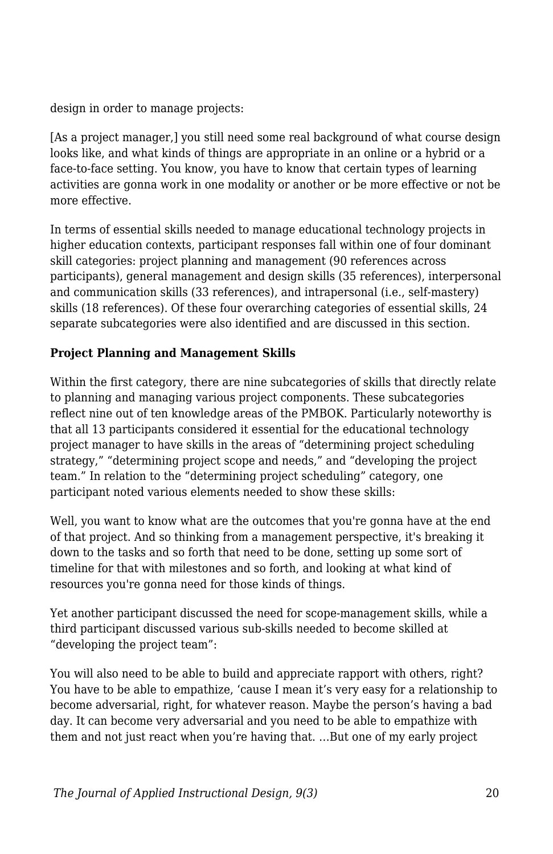design in order to manage projects:

[As a project manager,] you still need some real background of what course design looks like, and what kinds of things are appropriate in an online or a hybrid or a face-to-face setting. You know, you have to know that certain types of learning activities are gonna work in one modality or another or be more effective or not be more effective.

In terms of essential skills needed to manage educational technology projects in higher education contexts, participant responses fall within one of four dominant skill categories: project planning and management (90 references across participants), general management and design skills (35 references), interpersonal and communication skills (33 references), and intrapersonal (i.e., self-mastery) skills (18 references). Of these four overarching categories of essential skills, 24 separate subcategories were also identified and are discussed in this section.

#### **Project Planning and Management Skills**

Within the first category, there are nine subcategories of skills that directly relate to planning and managing various project components. These subcategories reflect nine out of ten knowledge areas of the PMBOK. Particularly noteworthy is that all 13 participants considered it essential for the educational technology project manager to have skills in the areas of "determining project scheduling strategy," "determining project scope and needs," and "developing the project team." In relation to the "determining project scheduling" category, one participant noted various elements needed to show these skills:

Well, you want to know what are the outcomes that you're gonna have at the end of that project. And so thinking from a management perspective, it's breaking it down to the tasks and so forth that need to be done, setting up some sort of timeline for that with milestones and so forth, and looking at what kind of resources you're gonna need for those kinds of things.

Yet another participant discussed the need for scope-management skills, while a third participant discussed various sub-skills needed to become skilled at "developing the project team":

You will also need to be able to build and appreciate rapport with others, right? You have to be able to empathize, 'cause I mean it's very easy for a relationship to become adversarial, right, for whatever reason. Maybe the person's having a bad day. It can become very adversarial and you need to be able to empathize with them and not just react when you're having that. …But one of my early project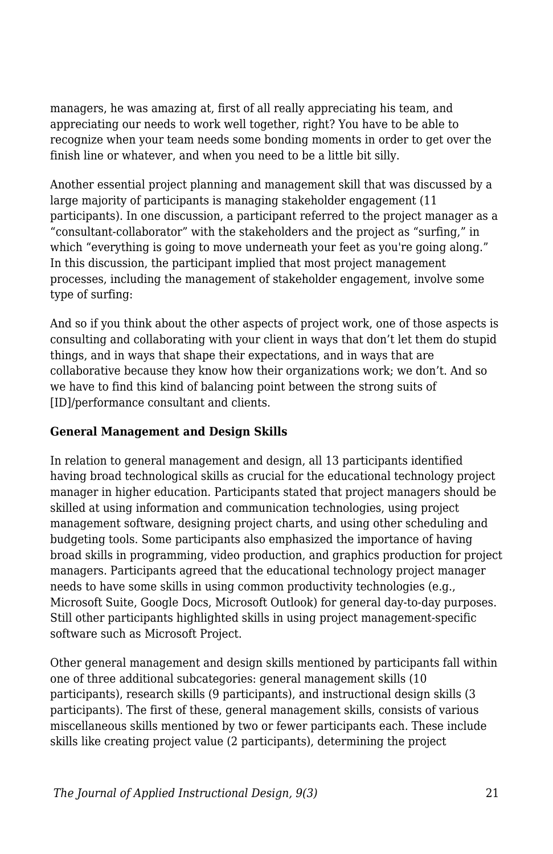managers, he was amazing at, first of all really appreciating his team, and appreciating our needs to work well together, right? You have to be able to recognize when your team needs some bonding moments in order to get over the finish line or whatever, and when you need to be a little bit silly.

Another essential project planning and management skill that was discussed by a large majority of participants is managing stakeholder engagement (11 participants). In one discussion, a participant referred to the project manager as a "consultant-collaborator" with the stakeholders and the project as "surfing," in which "everything is going to move underneath your feet as you're going along." In this discussion, the participant implied that most project management processes, including the management of stakeholder engagement, involve some type of surfing:

And so if you think about the other aspects of project work, one of those aspects is consulting and collaborating with your client in ways that don't let them do stupid things, and in ways that shape their expectations, and in ways that are collaborative because they know how their organizations work; we don't. And so we have to find this kind of balancing point between the strong suits of [ID]/performance consultant and clients.

#### **General Management and Design Skills**

In relation to general management and design, all 13 participants identified having broad technological skills as crucial for the educational technology project manager in higher education. Participants stated that project managers should be skilled at using information and communication technologies, using project management software, designing project charts, and using other scheduling and budgeting tools. Some participants also emphasized the importance of having broad skills in programming, video production, and graphics production for project managers. Participants agreed that the educational technology project manager needs to have some skills in using common productivity technologies (e.g., Microsoft Suite, Google Docs, Microsoft Outlook) for general day-to-day purposes. Still other participants highlighted skills in using project management-specific software such as Microsoft Project.

Other general management and design skills mentioned by participants fall within one of three additional subcategories: general management skills (10 participants), research skills (9 participants), and instructional design skills (3 participants). The first of these, general management skills, consists of various miscellaneous skills mentioned by two or fewer participants each. These include skills like creating project value (2 participants), determining the project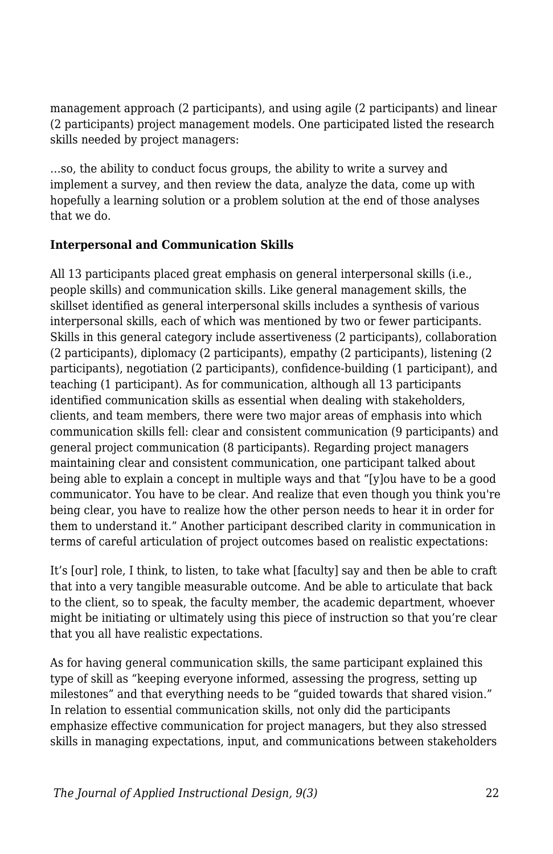management approach (2 participants), and using agile (2 participants) and linear (2 participants) project management models. One participated listed the research skills needed by project managers:

…so, the ability to conduct focus groups, the ability to write a survey and implement a survey, and then review the data, analyze the data, come up with hopefully a learning solution or a problem solution at the end of those analyses that we do.

#### **Interpersonal and Communication Skills**

All 13 participants placed great emphasis on general interpersonal skills (i.e., people skills) and communication skills. Like general management skills, the skillset identified as general interpersonal skills includes a synthesis of various interpersonal skills, each of which was mentioned by two or fewer participants. Skills in this general category include assertiveness (2 participants), collaboration (2 participants), diplomacy (2 participants), empathy (2 participants), listening (2 participants), negotiation (2 participants), confidence-building (1 participant), and teaching (1 participant). As for communication, although all 13 participants identified communication skills as essential when dealing with stakeholders, clients, and team members, there were two major areas of emphasis into which communication skills fell: clear and consistent communication (9 participants) and general project communication (8 participants). Regarding project managers maintaining clear and consistent communication, one participant talked about being able to explain a concept in multiple ways and that "[y]ou have to be a good communicator. You have to be clear. And realize that even though you think you're being clear, you have to realize how the other person needs to hear it in order for them to understand it." Another participant described clarity in communication in terms of careful articulation of project outcomes based on realistic expectations:

It's [our] role, I think, to listen, to take what [faculty] say and then be able to craft that into a very tangible measurable outcome. And be able to articulate that back to the client, so to speak, the faculty member, the academic department, whoever might be initiating or ultimately using this piece of instruction so that you're clear that you all have realistic expectations.

As for having general communication skills, the same participant explained this type of skill as "keeping everyone informed, assessing the progress, setting up milestones" and that everything needs to be "guided towards that shared vision." In relation to essential communication skills, not only did the participants emphasize effective communication for project managers, but they also stressed skills in managing expectations, input, and communications between stakeholders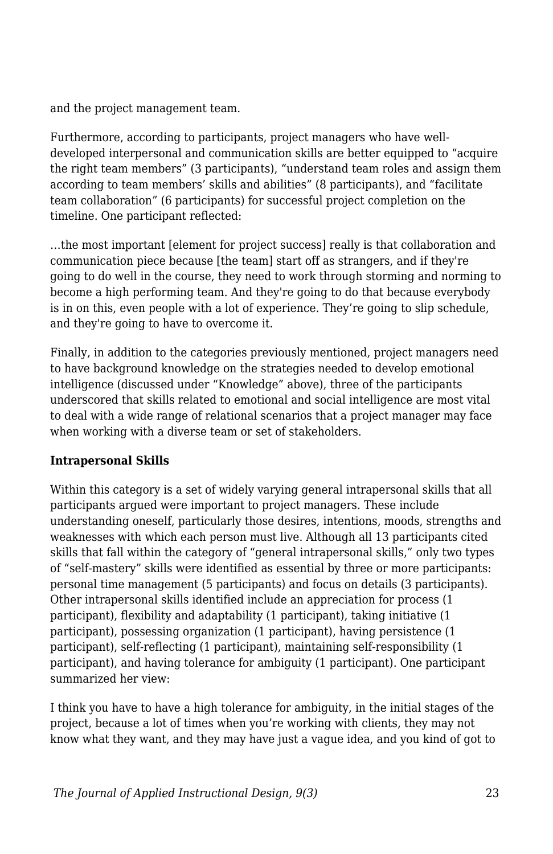and the project management team.

Furthermore, according to participants, project managers who have welldeveloped interpersonal and communication skills are better equipped to "acquire the right team members" (3 participants), "understand team roles and assign them according to team members' skills and abilities" (8 participants), and "facilitate team collaboration" (6 participants) for successful project completion on the timeline. One participant reflected:

…the most important [element for project success] really is that collaboration and communication piece because [the team] start off as strangers, and if they're going to do well in the course, they need to work through storming and norming to become a high performing team. And they're going to do that because everybody is in on this, even people with a lot of experience. They're going to slip schedule, and they're going to have to overcome it.

Finally, in addition to the categories previously mentioned, project managers need to have background knowledge on the strategies needed to develop emotional intelligence (discussed under "Knowledge" above), three of the participants underscored that skills related to emotional and social intelligence are most vital to deal with a wide range of relational scenarios that a project manager may face when working with a diverse team or set of stakeholders.

#### **Intrapersonal Skills**

Within this category is a set of widely varying general intrapersonal skills that all participants argued were important to project managers. These include understanding oneself, particularly those desires, intentions, moods, strengths and weaknesses with which each person must live. Although all 13 participants cited skills that fall within the category of "general intrapersonal skills," only two types of "self-mastery" skills were identified as essential by three or more participants: personal time management (5 participants) and focus on details (3 participants). Other intrapersonal skills identified include an appreciation for process (1 participant), flexibility and adaptability (1 participant), taking initiative (1 participant), possessing organization (1 participant), having persistence (1 participant), self-reflecting (1 participant), maintaining self-responsibility (1 participant), and having tolerance for ambiguity (1 participant). One participant summarized her view:

I think you have to have a high tolerance for ambiguity, in the initial stages of the project, because a lot of times when you're working with clients, they may not know what they want, and they may have just a vague idea, and you kind of got to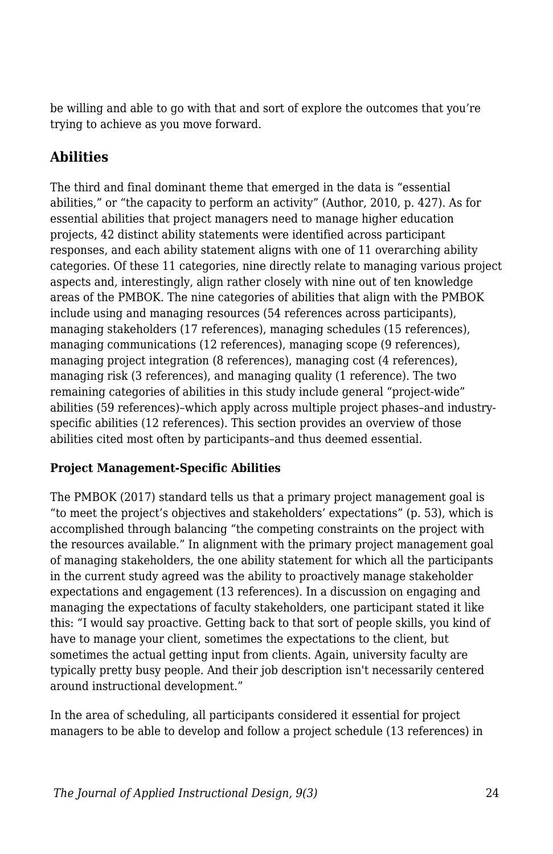be willing and able to go with that and sort of explore the outcomes that you're trying to achieve as you move forward.

## **Abilities**

The third and final dominant theme that emerged in the data is "essential abilities," or "the capacity to perform an activity" (Author, 2010, p. 427). As for essential abilities that project managers need to manage higher education projects, 42 distinct ability statements were identified across participant responses, and each ability statement aligns with one of 11 overarching ability categories. Of these 11 categories, nine directly relate to managing various project aspects and, interestingly, align rather closely with nine out of ten knowledge areas of the PMBOK. The nine categories of abilities that align with the PMBOK include using and managing resources (54 references across participants), managing stakeholders (17 references), managing schedules (15 references), managing communications (12 references), managing scope (9 references), managing project integration (8 references), managing cost (4 references), managing risk (3 references), and managing quality (1 reference). The two remaining categories of abilities in this study include general "project-wide" abilities (59 references)–which apply across multiple project phases–and industryspecific abilities (12 references). This section provides an overview of those abilities cited most often by participants–and thus deemed essential.

#### **Project Management-Specific Abilities**

The PMBOK (2017) standard tells us that a primary project management goal is "to meet the project's objectives and stakeholders' expectations" (p. 53), which is accomplished through balancing "the competing constraints on the project with the resources available." In alignment with the primary project management goal of managing stakeholders, the one ability statement for which all the participants in the current study agreed was the ability to proactively manage stakeholder expectations and engagement (13 references). In a discussion on engaging and managing the expectations of faculty stakeholders, one participant stated it like this: "I would say proactive. Getting back to that sort of people skills, you kind of have to manage your client, sometimes the expectations to the client, but sometimes the actual getting input from clients. Again, university faculty are typically pretty busy people. And their job description isn't necessarily centered around instructional development."

In the area of scheduling, all participants considered it essential for project managers to be able to develop and follow a project schedule (13 references) in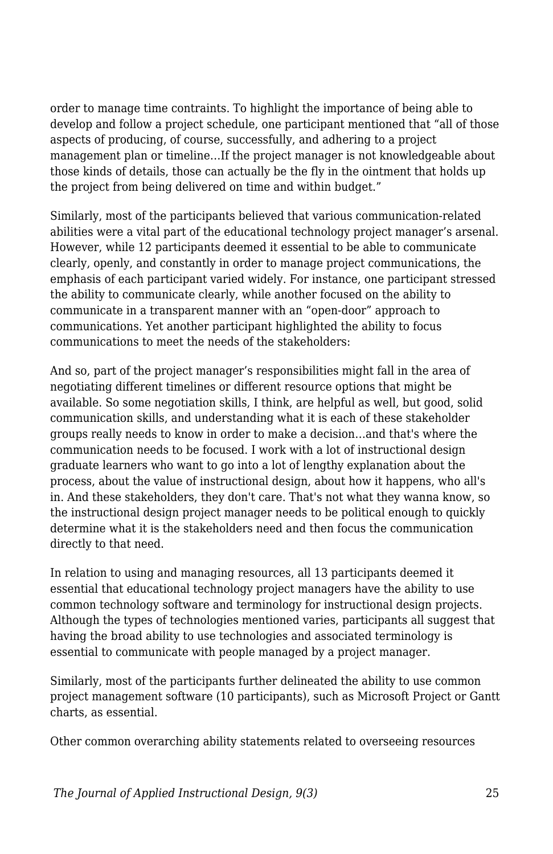order to manage time contraints. To highlight the importance of being able to develop and follow a project schedule, one participant mentioned that "all of those aspects of producing, of course, successfully, and adhering to a project management plan or timeline…If the project manager is not knowledgeable about those kinds of details, those can actually be the fly in the ointment that holds up the project from being delivered on time and within budget."

Similarly, most of the participants believed that various communication-related abilities were a vital part of the educational technology project manager's arsenal. However, while 12 participants deemed it essential to be able to communicate clearly, openly, and constantly in order to manage project communications, the emphasis of each participant varied widely. For instance, one participant stressed the ability to communicate clearly, while another focused on the ability to communicate in a transparent manner with an "open-door" approach to communications. Yet another participant highlighted the ability to focus communications to meet the needs of the stakeholders:

And so, part of the project manager's responsibilities might fall in the area of negotiating different timelines or different resource options that might be available. So some negotiation skills, I think, are helpful as well, but good, solid communication skills, and understanding what it is each of these stakeholder groups really needs to know in order to make a decision…and that's where the communication needs to be focused. I work with a lot of instructional design graduate learners who want to go into a lot of lengthy explanation about the process, about the value of instructional design, about how it happens, who all's in. And these stakeholders, they don't care. That's not what they wanna know, so the instructional design project manager needs to be political enough to quickly determine what it is the stakeholders need and then focus the communication directly to that need.

In relation to using and managing resources, all 13 participants deemed it essential that educational technology project managers have the ability to use common technology software and terminology for instructional design projects. Although the types of technologies mentioned varies, participants all suggest that having the broad ability to use technologies and associated terminology is essential to communicate with people managed by a project manager.

Similarly, most of the participants further delineated the ability to use common project management software (10 participants), such as Microsoft Project or Gantt charts, as essential.

Other common overarching ability statements related to overseeing resources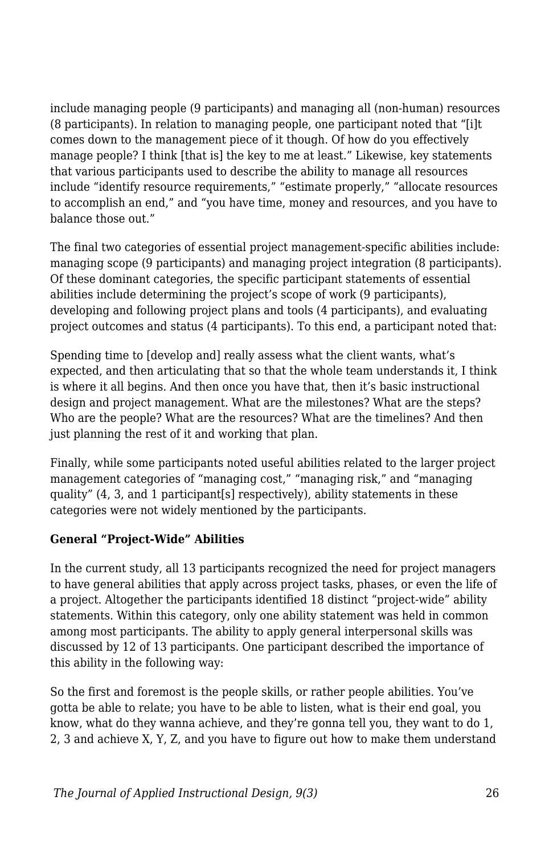include managing people (9 participants) and managing all (non-human) resources (8 participants). In relation to managing people, one participant noted that "[i]t comes down to the management piece of it though. Of how do you effectively manage people? I think [that is] the key to me at least." Likewise, key statements that various participants used to describe the ability to manage all resources include "identify resource requirements," "estimate properly," "allocate resources to accomplish an end," and "you have time, money and resources, and you have to balance those out."

The final two categories of essential project management-specific abilities include: managing scope (9 participants) and managing project integration (8 participants). Of these dominant categories, the specific participant statements of essential abilities include determining the project's scope of work (9 participants), developing and following project plans and tools (4 participants), and evaluating project outcomes and status (4 participants). To this end, a participant noted that:

Spending time to [develop and] really assess what the client wants, what's expected, and then articulating that so that the whole team understands it, I think is where it all begins. And then once you have that, then it's basic instructional design and project management. What are the milestones? What are the steps? Who are the people? What are the resources? What are the timelines? And then just planning the rest of it and working that plan.

Finally, while some participants noted useful abilities related to the larger project management categories of "managing cost," "managing risk," and "managing quality" (4, 3, and 1 participant[s] respectively), ability statements in these categories were not widely mentioned by the participants.

#### **General "Project-Wide" Abilities**

In the current study, all 13 participants recognized the need for project managers to have general abilities that apply across project tasks, phases, or even the life of a project. Altogether the participants identified 18 distinct "project-wide" ability statements. Within this category, only one ability statement was held in common among most participants. The ability to apply general interpersonal skills was discussed by 12 of 13 participants. One participant described the importance of this ability in the following way:

So the first and foremost is the people skills, or rather people abilities. You've gotta be able to relate; you have to be able to listen, what is their end goal, you know, what do they wanna achieve, and they're gonna tell you, they want to do 1, 2, 3 and achieve X, Y, Z, and you have to figure out how to make them understand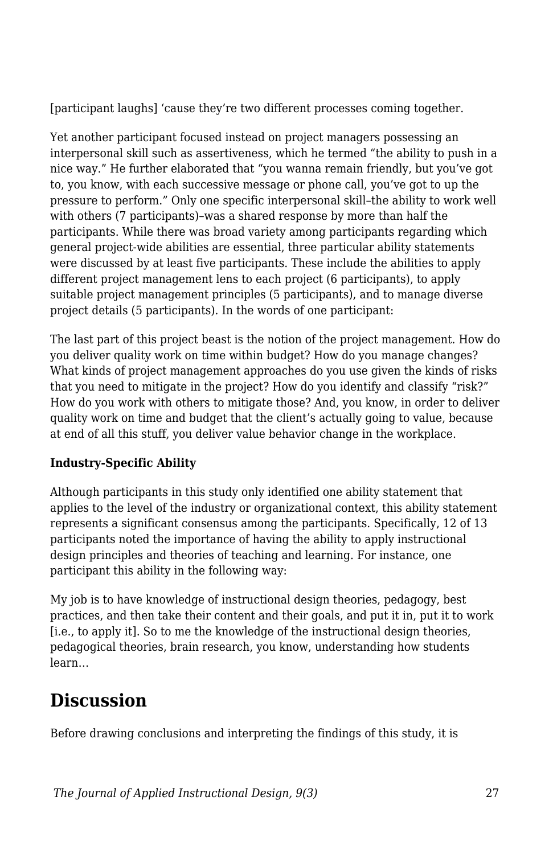[participant laughs] 'cause they're two different processes coming together.

Yet another participant focused instead on project managers possessing an interpersonal skill such as assertiveness, which he termed "the ability to push in a nice way." He further elaborated that "you wanna remain friendly, but you've got to, you know, with each successive message or phone call, you've got to up the pressure to perform." Only one specific interpersonal skill–the ability to work well with others (7 participants)–was a shared response by more than half the participants. While there was broad variety among participants regarding which general project-wide abilities are essential, three particular ability statements were discussed by at least five participants. These include the abilities to apply different project management lens to each project (6 participants), to apply suitable project management principles (5 participants), and to manage diverse project details (5 participants). In the words of one participant:

The last part of this project beast is the notion of the project management. How do you deliver quality work on time within budget? How do you manage changes? What kinds of project management approaches do you use given the kinds of risks that you need to mitigate in the project? How do you identify and classify "risk?" How do you work with others to mitigate those? And, you know, in order to deliver quality work on time and budget that the client's actually going to value, because at end of all this stuff, you deliver value behavior change in the workplace.

### **Industry-Specific Ability**

Although participants in this study only identified one ability statement that applies to the level of the industry or organizational context, this ability statement represents a significant consensus among the participants. Specifically, 12 of 13 participants noted the importance of having the ability to apply instructional design principles and theories of teaching and learning. For instance, one participant this ability in the following way:

My job is to have knowledge of instructional design theories, pedagogy, best practices, and then take their content and their goals, and put it in, put it to work [i.e., to apply it]. So to me the knowledge of the instructional design theories, pedagogical theories, brain research, you know, understanding how students learn…

## **Discussion**

Before drawing conclusions and interpreting the findings of this study, it is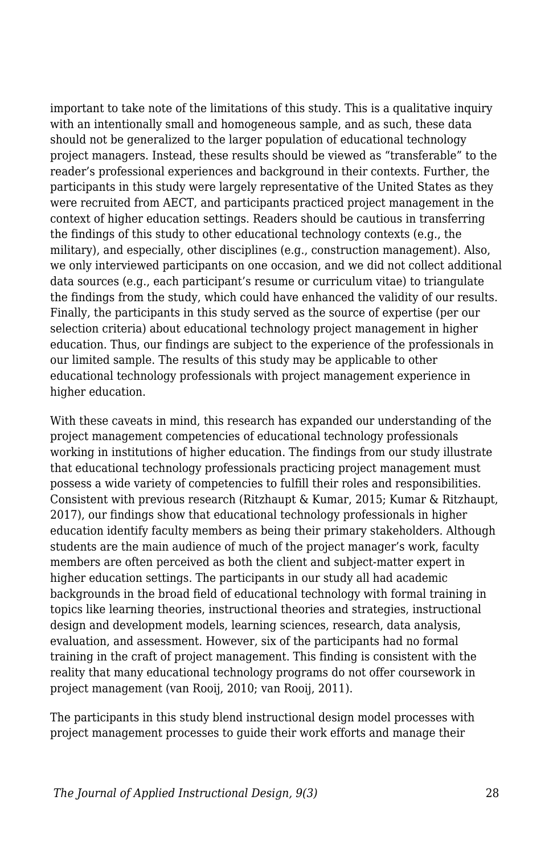important to take note of the limitations of this study. This is a qualitative inquiry with an intentionally small and homogeneous sample, and as such, these data should not be generalized to the larger population of educational technology project managers. Instead, these results should be viewed as "transferable" to the reader's professional experiences and background in their contexts. Further, the participants in this study were largely representative of the United States as they were recruited from AECT, and participants practiced project management in the context of higher education settings. Readers should be cautious in transferring the findings of this study to other educational technology contexts (e.g., the military), and especially, other disciplines (e.g., construction management). Also, we only interviewed participants on one occasion, and we did not collect additional data sources (e.g., each participant's resume or curriculum vitae) to triangulate the findings from the study, which could have enhanced the validity of our results. Finally, the participants in this study served as the source of expertise (per our selection criteria) about educational technology project management in higher education. Thus, our findings are subject to the experience of the professionals in our limited sample. The results of this study may be applicable to other educational technology professionals with project management experience in higher education.

With these caveats in mind, this research has expanded our understanding of the project management competencies of educational technology professionals working in institutions of higher education. The findings from our study illustrate that educational technology professionals practicing project management must possess a wide variety of competencies to fulfill their roles and responsibilities. Consistent with previous research (Ritzhaupt & Kumar, 2015; Kumar & Ritzhaupt, 2017), our findings show that educational technology professionals in higher education identify faculty members as being their primary stakeholders. Although students are the main audience of much of the project manager's work, faculty members are often perceived as both the client and subject-matter expert in higher education settings. The participants in our study all had academic backgrounds in the broad field of educational technology with formal training in topics like learning theories, instructional theories and strategies, instructional design and development models, learning sciences, research, data analysis, evaluation, and assessment. However, six of the participants had no formal training in the craft of project management. This finding is consistent with the reality that many educational technology programs do not offer coursework in project management (van Rooij, 2010; van Rooij, 2011).

The participants in this study blend instructional design model processes with project management processes to guide their work efforts and manage their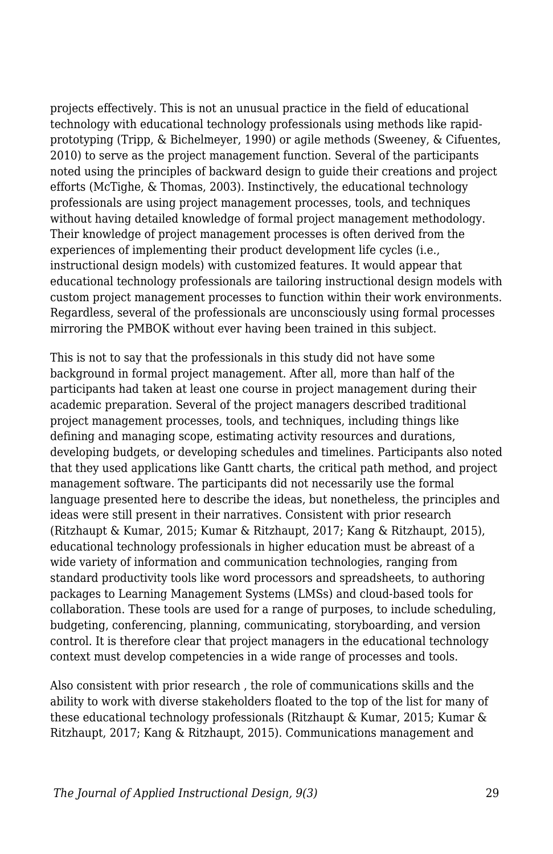projects effectively. This is not an unusual practice in the field of educational technology with educational technology professionals using methods like rapidprototyping (Tripp, & Bichelmeyer, 1990) or agile methods (Sweeney, & Cifuentes, 2010) to serve as the project management function. Several of the participants noted using the principles of backward design to guide their creations and project efforts (McTighe, & Thomas, 2003). Instinctively, the educational technology professionals are using project management processes, tools, and techniques without having detailed knowledge of formal project management methodology. Their knowledge of project management processes is often derived from the experiences of implementing their product development life cycles (i.e., instructional design models) with customized features. It would appear that educational technology professionals are tailoring instructional design models with custom project management processes to function within their work environments. Regardless, several of the professionals are unconsciously using formal processes mirroring the PMBOK without ever having been trained in this subject.

This is not to say that the professionals in this study did not have some background in formal project management. After all, more than half of the participants had taken at least one course in project management during their academic preparation. Several of the project managers described traditional project management processes, tools, and techniques, including things like defining and managing scope, estimating activity resources and durations, developing budgets, or developing schedules and timelines. Participants also noted that they used applications like Gantt charts, the critical path method, and project management software. The participants did not necessarily use the formal language presented here to describe the ideas, but nonetheless, the principles and ideas were still present in their narratives. Consistent with prior research (Ritzhaupt & Kumar, 2015; Kumar & Ritzhaupt, 2017; Kang & Ritzhaupt, 2015), educational technology professionals in higher education must be abreast of a wide variety of information and communication technologies, ranging from standard productivity tools like word processors and spreadsheets, to authoring packages to Learning Management Systems (LMSs) and cloud-based tools for collaboration. These tools are used for a range of purposes, to include scheduling, budgeting, conferencing, planning, communicating, storyboarding, and version control. It is therefore clear that project managers in the educational technology context must develop competencies in a wide range of processes and tools.

Also consistent with prior research , the role of communications skills and the ability to work with diverse stakeholders floated to the top of the list for many of these educational technology professionals (Ritzhaupt & Kumar, 2015; Kumar & Ritzhaupt, 2017; Kang & Ritzhaupt, 2015). Communications management and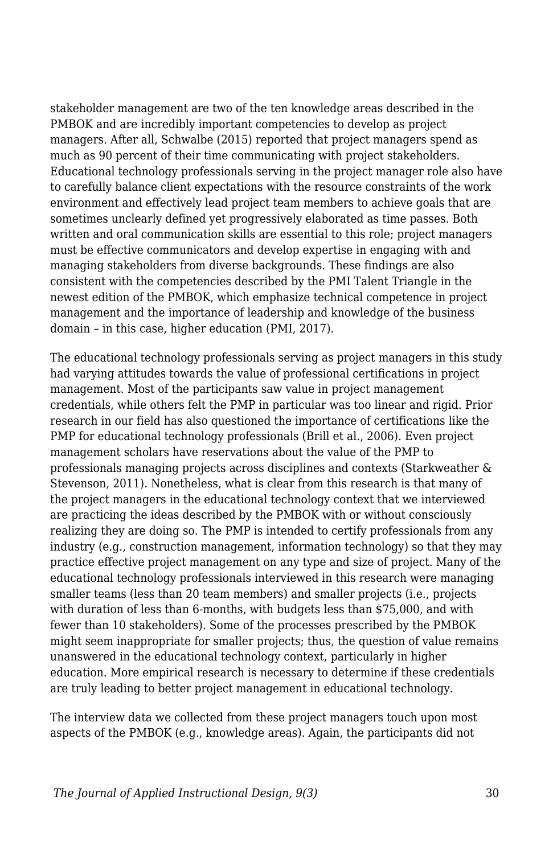stakeholder management are two of the ten knowledge areas described in the PMBOK and are incredibly important competencies to develop as project managers. After all, Schwalbe (2015) reported that project managers spend as much as 90 percent of their time communicating with project stakeholders. Educational technology professionals serving in the project manager role also have to carefully balance client expectations with the resource constraints of the work environment and effectively lead project team members to achieve goals that are sometimes unclearly defined yet progressively elaborated as time passes. Both written and oral communication skills are essential to this role; project managers must be effective communicators and develop expertise in engaging with and managing stakeholders from diverse backgrounds. These findings are also consistent with the competencies described by the PMI Talent Triangle in the newest edition of the PMBOK, which emphasize technical competence in project management and the importance of leadership and knowledge of the business domain – in this case, higher education (PMI, 2017).

The educational technology professionals serving as project managers in this study had varying attitudes towards the value of professional certifications in project management. Most of the participants saw value in project management credentials, while others felt the PMP in particular was too linear and rigid. Prior research in our field has also questioned the importance of certifications like the PMP for educational technology professionals (Brill et al., 2006). Even project management scholars have reservations about the value of the PMP to professionals managing projects across disciplines and contexts (Starkweather & Stevenson, 2011). Nonetheless, what is clear from this research is that many of the project managers in the educational technology context that we interviewed are practicing the ideas described by the PMBOK with or without consciously realizing they are doing so. The PMP is intended to certify professionals from any industry (e.g., construction management, information technology) so that they may practice effective project management on any type and size of project. Many of the educational technology professionals interviewed in this research were managing smaller teams (less than 20 team members) and smaller projects (i.e., projects with duration of less than 6-months, with budgets less than \$75,000, and with fewer than 10 stakeholders). Some of the processes prescribed by the PMBOK might seem inappropriate for smaller projects; thus, the question of value remains unanswered in the educational technology context, particularly in higher education. More empirical research is necessary to determine if these credentials are truly leading to better project management in educational technology.

The interview data we collected from these project managers touch upon most aspects of the PMBOK (e.g., knowledge areas). Again, the participants did not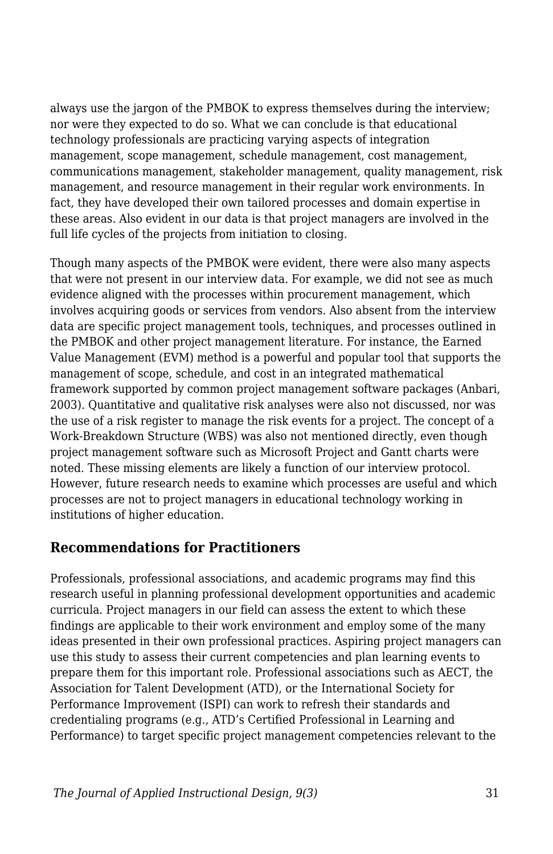always use the jargon of the PMBOK to express themselves during the interview; nor were they expected to do so. What we can conclude is that educational technology professionals are practicing varying aspects of integration management, scope management, schedule management, cost management, communications management, stakeholder management, quality management, risk management, and resource management in their regular work environments. In fact, they have developed their own tailored processes and domain expertise in these areas. Also evident in our data is that project managers are involved in the full life cycles of the projects from initiation to closing.

Though many aspects of the PMBOK were evident, there were also many aspects that were not present in our interview data. For example, we did not see as much evidence aligned with the processes within procurement management, which involves acquiring goods or services from vendors. Also absent from the interview data are specific project management tools, techniques, and processes outlined in the PMBOK and other project management literature. For instance, the Earned Value Management (EVM) method is a powerful and popular tool that supports the management of scope, schedule, and cost in an integrated mathematical framework supported by common project management software packages (Anbari, 2003). Quantitative and qualitative risk analyses were also not discussed, nor was the use of a risk register to manage the risk events for a project. The concept of a Work-Breakdown Structure (WBS) was also not mentioned directly, even though project management software such as Microsoft Project and Gantt charts were noted. These missing elements are likely a function of our interview protocol. However, future research needs to examine which processes are useful and which processes are not to project managers in educational technology working in institutions of higher education.

### **Recommendations for Practitioners**

Professionals, professional associations, and academic programs may find this research useful in planning professional development opportunities and academic curricula. Project managers in our field can assess the extent to which these findings are applicable to their work environment and employ some of the many ideas presented in their own professional practices. Aspiring project managers can use this study to assess their current competencies and plan learning events to prepare them for this important role. Professional associations such as AECT, the Association for Talent Development (ATD), or the International Society for Performance Improvement (ISPI) can work to refresh their standards and credentialing programs (e.g., ATD's Certified Professional in Learning and Performance) to target specific project management competencies relevant to the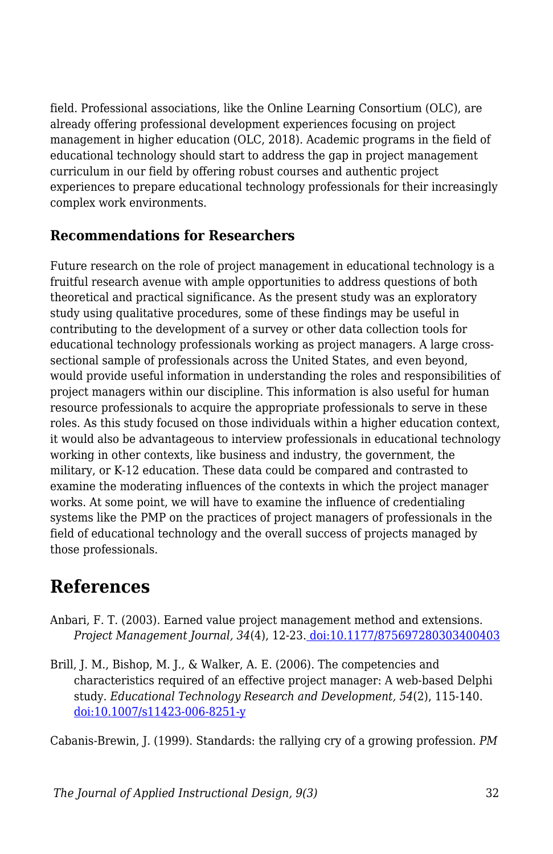field. Professional associations, like the Online Learning Consortium (OLC), are already offering professional development experiences focusing on project management in higher education (OLC, 2018). Academic programs in the field of educational technology should start to address the gap in project management curriculum in our field by offering robust courses and authentic project experiences to prepare educational technology professionals for their increasingly complex work environments.

### **Recommendations for Researchers**

Future research on the role of project management in educational technology is a fruitful research avenue with ample opportunities to address questions of both theoretical and practical significance. As the present study was an exploratory study using qualitative procedures, some of these findings may be useful in contributing to the development of a survey or other data collection tools for educational technology professionals working as project managers. A large crosssectional sample of professionals across the United States, and even beyond, would provide useful information in understanding the roles and responsibilities of project managers within our discipline. This information is also useful for human resource professionals to acquire the appropriate professionals to serve in these roles. As this study focused on those individuals within a higher education context, it would also be advantageous to interview professionals in educational technology working in other contexts, like business and industry, the government, the military, or K-12 education. These data could be compared and contrasted to examine the moderating influences of the contexts in which the project manager works. At some point, we will have to examine the influence of credentialing systems like the PMP on the practices of project managers of professionals in the field of educational technology and the overall success of projects managed by those professionals.

## **References**

- Anbari, F. T. (2003). Earned value project management method and extensions. *Project Management Journal, 34*(4), 12-23[. doi:10.1177/875697280303400403](https://doi.org/10.1177/875697280303400403)
- Brill, J. M., Bishop, M. J., & Walker, A. E. (2006). The competencies and characteristics required of an effective project manager: A web-based Delphi study. *Educational Technology Research and Development, 54*(2), 115-140. [doi:10.1007/s11423-006-8251-y](https://doi.org/10.1007/s11423-006-8251-y)

Cabanis-Brewin, J. (1999). Standards: the rallying cry of a growing profession. *PM*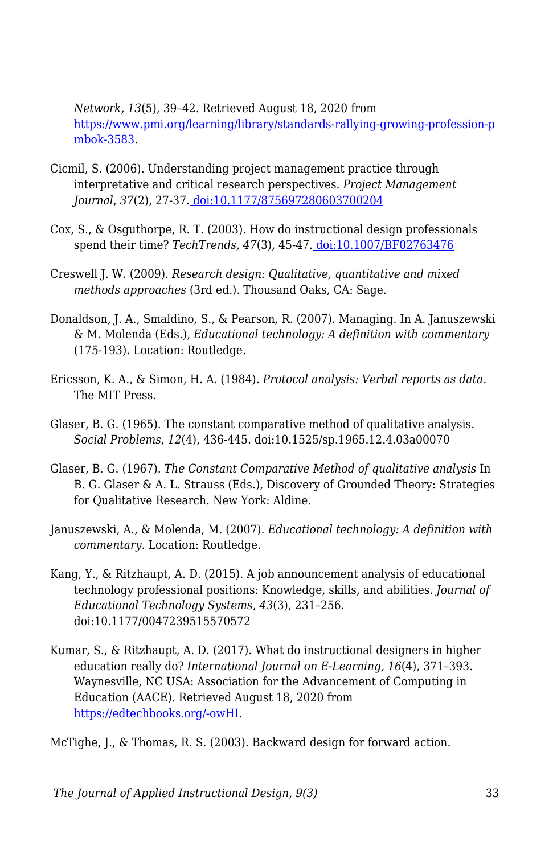*Network, 13*(5), 39–42. Retrieved August 18, 2020 from [https://www.pmi.org/learning/library/standards-rallying-growing-profession-p](https://www.pmi.org/learning/library/standards-rallying-growing-profession-pmbok-3583) [mbok-3583](https://www.pmi.org/learning/library/standards-rallying-growing-profession-pmbok-3583).

- Cicmil, S. (2006). Understanding project management practice through interpretative and critical research perspectives. *Project Management Journal*, *37*(2), 27-37. [doi:10.1177/875697280603700204](https://doi.org/10.1177%2F875697280603700204)
- Cox, S., & Osguthorpe, R. T. (2003). How do instructional design professionals spend their time? *TechTrends, 47*(3), 45-47[. doi:10.1007/BF02763476](https://doi.org/10.1007/BF02763476)
- Creswell J. W. (2009). *Research design: Qualitative, quantitative and mixed methods approaches* (3rd ed.). Thousand Oaks, CA: Sage.
- Donaldson, J. A., Smaldino, S., & Pearson, R. (2007). Managing. In A. Januszewski & M. Molenda (Eds.), *Educational technology: A definition with commentary* (175-193). Location: Routledge.
- Ericsson, K. A., & Simon, H. A. (1984). *Protocol analysis: Verbal reports as data.* The MIT Press.
- Glaser, B. G. (1965). The constant comparative method of qualitative analysis. *Social Problems*, *12*(4), 436-445. doi:10.1525/sp.1965.12.4.03a00070
- Glaser, B. G. (1967). *The Constant Comparative Method of qualitative analysis* In B. G. Glaser & A. L. Strauss (Eds.), Discovery of Grounded Theory: Strategies for Qualitative Research. New York: Aldine.
- Januszewski, A., & Molenda, M. (2007). *Educational technology: A definition with commentary*. Location: Routledge.
- Kang, Y., & Ritzhaupt, A. D. (2015). A job announcement analysis of educational technology professional positions: Knowledge, skills, and abilities. *Journal of Educational Technology Systems, 43*(3), 231–256. doi:10.1177/0047239515570572
- Kumar, S., & Ritzhaupt, A. D. (2017). What do instructional designers in higher education really do? *International Journal on E-Learning, 16*(4), 371–393. Waynesville, NC USA: Association for the Advancement of Computing in Education (AACE). Retrieved August 18, 2020 from [https://edtechbooks.org/-owHI](https://www.learntechlib.org/primary/p/150980/).

McTighe, J., & Thomas, R. S. (2003). Backward design for forward action.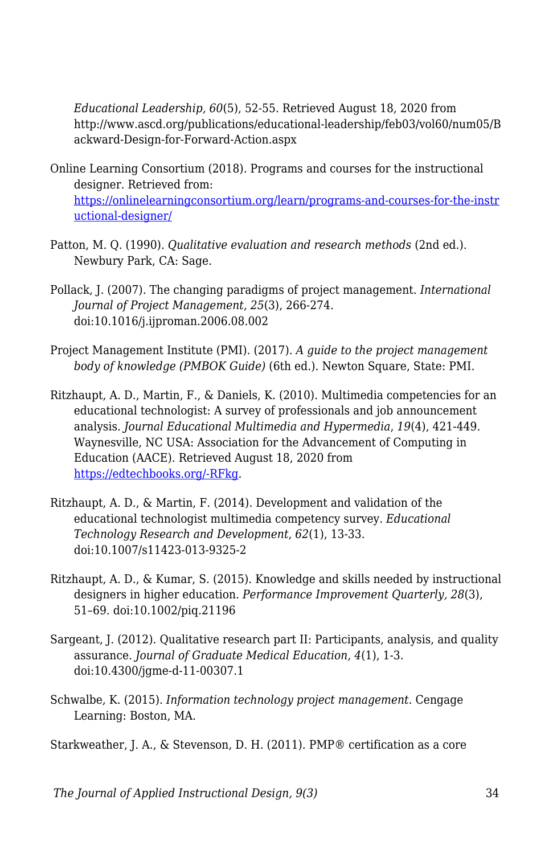*Educational Leadership, 60*(5), 52-55. Retrieved August 18, 2020 from http://www.ascd.org/publications/educational-leadership/feb03/vol60/num05/B ackward-Design-for-Forward-Action.aspx

- Online Learning Consortium (2018). Programs and courses for the instructional designer. Retrieved from: [https://onlinelearningconsortium.org/learn/programs-and-courses-for-the-instr](https://onlinelearningconsortium.org/learn/programs-and-courses-for-the-instructional-designer/) [uctional-designer/](https://onlinelearningconsortium.org/learn/programs-and-courses-for-the-instructional-designer/)
- Patton, M. Q. (1990). *Qualitative evaluation and research methods* (2nd ed.). Newbury Park, CA: Sage.
- Pollack, J. (2007). The changing paradigms of project management. *International Journal of Project Management*, *25*(3), 266-274. doi:10.1016/j.ijproman.2006.08.002
- Project Management Institute (PMI). (2017). *A guide to the project management body of knowledge (PMBOK Guide)* (6th ed.). Newton Square, State: PMI.
- Ritzhaupt, A. D., Martin, F., & Daniels, K. (2010). Multimedia competencies for an educational technologist: A survey of professionals and job announcement analysis. *Journal Educational Multimedia and Hypermedia*, *19*(4), 421-449. Waynesville, NC USA: Association for the Advancement of Computing in Education (AACE). Retrieved August 18, 2020 from [https://edtechbooks.org/-RFkg.](https://www.learntechlib.org/primary/p/34114/)
- Ritzhaupt, A. D., & Martin, F. (2014). Development and validation of the educational technologist multimedia competency survey. *Educational Technology Research and Development*, *62*(1), 13-33. doi:10.1007/s11423-013-9325-2
- Ritzhaupt, A. D., & Kumar, S. (2015). Knowledge and skills needed by instructional designers in higher education. *Performance Improvement Quarterly, 28*(3), 51–69. doi:10.1002/piq.21196
- Sargeant, J. (2012). Qualitative research part II: Participants, analysis, and quality assurance. *Journal of Graduate Medical Education, 4*(1), 1-3. doi:10.4300/jgme-d-11-00307.1
- Schwalbe, K. (2015). *Information technology project management*. Cengage Learning: Boston, MA.

Starkweather, J. A., & Stevenson, D. H. (2011). PMP® certification as a core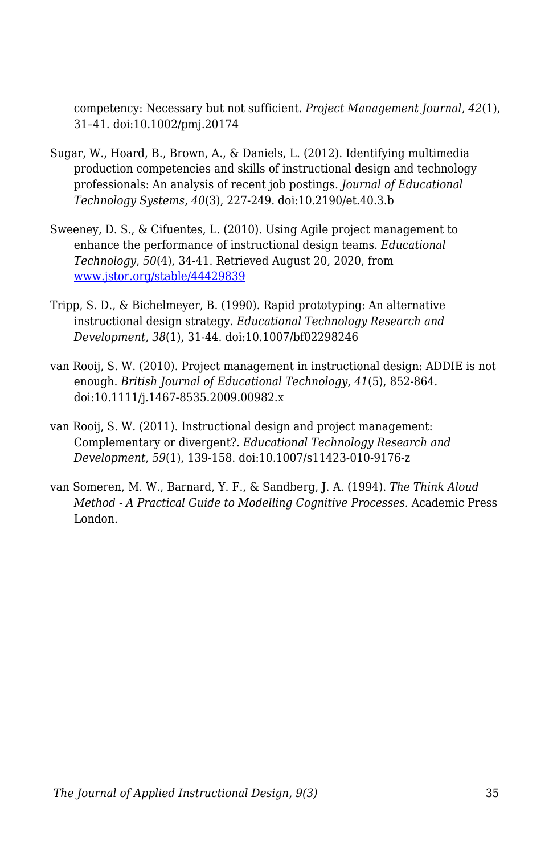competency: Necessary but not sufficient. *Project Management Journal, 42*(1), 31–41. doi:10.1002/pmj.20174

- Sugar, W., Hoard, B., Brown, A., & Daniels, L. (2012). Identifying multimedia production competencies and skills of instructional design and technology professionals: An analysis of recent job postings. *Journal of Educational Technology Systems, 40*(3), 227-249. doi:10.2190/et.40.3.b
- Sweeney, D. S., & Cifuentes, L. (2010). Using Agile project management to enhance the performance of instructional design teams. *Educational Technology*, *50*(4), 34-41. Retrieved August 20, 2020, from [www.jstor.org/stable/44429839](http://www.jstor.org/stable/44429839)
- Tripp, S. D., & Bichelmeyer, B. (1990). Rapid prototyping: An alternative instructional design strategy. *Educational Technology Research and Development, 38*(1), 31-44. doi:10.1007/bf02298246
- van Rooij, S. W. (2010). Project management in instructional design: ADDIE is not enough. *British Journal of Educational Technology*, *41*(5), 852-864. doi:10.1111/j.1467-8535.2009.00982.x
- van Rooij, S. W. (2011). Instructional design and project management: Complementary or divergent?. *Educational Technology Research and Development*, *59*(1), 139-158. doi:10.1007/s11423-010-9176-z
- van Someren, M. W., Barnard, Y. F., & Sandberg, J. A. (1994). *The Think Aloud Method - A Practical Guide to Modelling Cognitive Processes.* Academic Press London.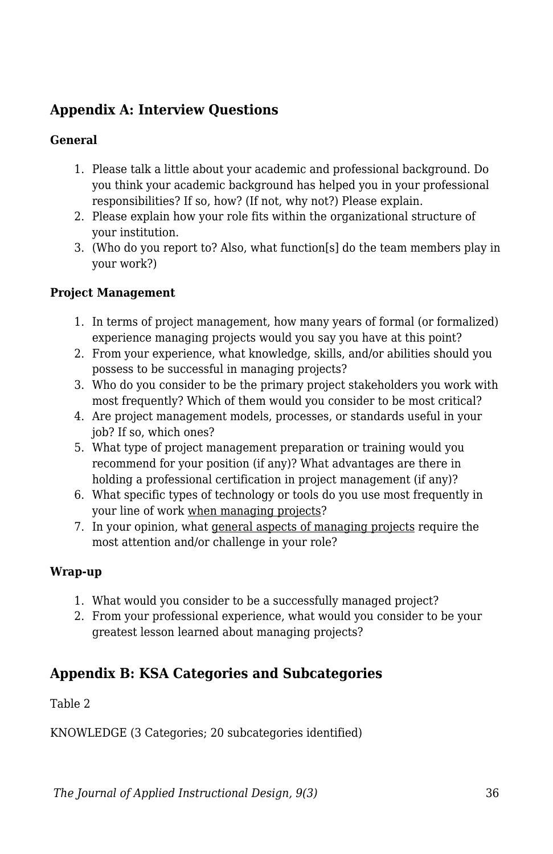## **Appendix A: Interview Questions**

#### **General**

- 1. Please talk a little about your academic and professional background. Do you think your academic background has helped you in your professional responsibilities? If so, how? (If not, why not?) Please explain.
- 2. Please explain how your role fits within the organizational structure of your institution.
- 3. (Who do you report to? Also, what function[s] do the team members play in your work?)

#### **Project Management**

- 1. In terms of project management, how many years of formal (or formalized) experience managing projects would you say you have at this point?
- 2. From your experience, what knowledge, skills, and/or abilities should you possess to be successful in managing projects?
- 3. Who do you consider to be the primary project stakeholders you work with most frequently? Which of them would you consider to be most critical?
- 4. Are project management models, processes, or standards useful in your job? If so, which ones?
- 5. What type of project management preparation or training would you recommend for your position (if any)? What advantages are there in holding a professional certification in project management (if any)?
- 6. What specific types of technology or tools do you use most frequently in your line of work when managing projects?
- 7. In your opinion, what general aspects of managing projects require the most attention and/or challenge in your role?

#### **Wrap-up**

- 1. What would you consider to be a successfully managed project?
- 2. From your professional experience, what would you consider to be your greatest lesson learned about managing projects?

## **Appendix B: KSA Categories and Subcategories**

Table 2

KNOWLEDGE (3 Categories; 20 subcategories identified)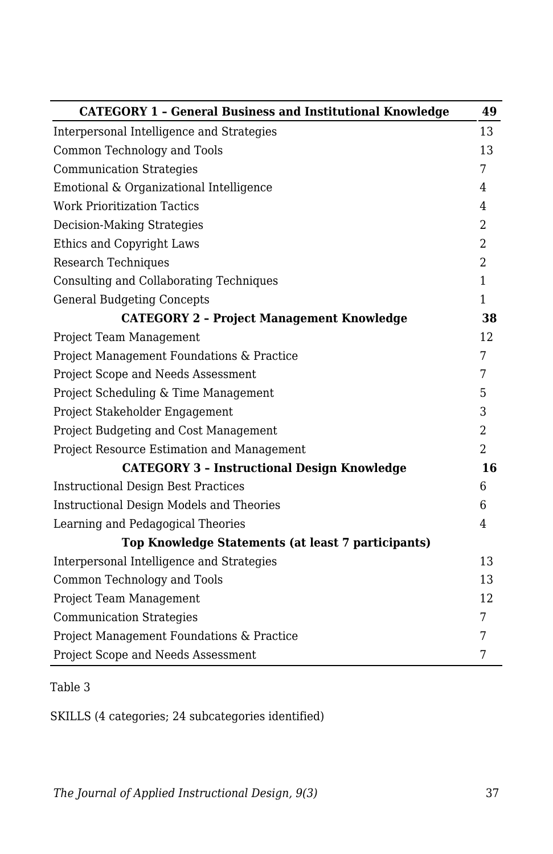| <b>CATEGORY 1 - General Business and Institutional Knowledge</b> | 49             |
|------------------------------------------------------------------|----------------|
| Interpersonal Intelligence and Strategies                        | 13             |
| Common Technology and Tools                                      | 13             |
| <b>Communication Strategies</b>                                  | 7              |
| Emotional & Organizational Intelligence                          | 4              |
| <b>Work Prioritization Tactics</b>                               | $\overline{4}$ |
| <b>Decision-Making Strategies</b>                                | $\overline{2}$ |
| Ethics and Copyright Laws                                        | 2              |
| Research Techniques                                              | 2              |
| Consulting and Collaborating Techniques                          | $\mathbf{1}$   |
| <b>General Budgeting Concepts</b>                                | $\mathbf{1}$   |
| <b>CATEGORY 2 - Project Management Knowledge</b>                 | 38             |
| Project Team Management                                          | 12             |
| Project Management Foundations & Practice                        | 7              |
| Project Scope and Needs Assessment                               | 7              |
| Project Scheduling & Time Management                             | 5              |
| Project Stakeholder Engagement                                   | 3              |
| Project Budgeting and Cost Management                            | $\overline{2}$ |
| Project Resource Estimation and Management                       | $\overline{2}$ |
| <b>CATEGORY 3 - Instructional Design Knowledge</b>               | 16             |
| <b>Instructional Design Best Practices</b>                       | 6              |
| <b>Instructional Design Models and Theories</b>                  | 6              |
| Learning and Pedagogical Theories                                | $\overline{4}$ |
| Top Knowledge Statements (at least 7 participants)               |                |
| Interpersonal Intelligence and Strategies                        | 13             |
| Common Technology and Tools                                      | 13             |
| Project Team Management                                          | 12             |
| <b>Communication Strategies</b>                                  | 7              |
| Project Management Foundations & Practice                        | 7              |
| Project Scope and Needs Assessment                               | 7              |

## Table 3

SKILLS (4 categories; 24 subcategories identified)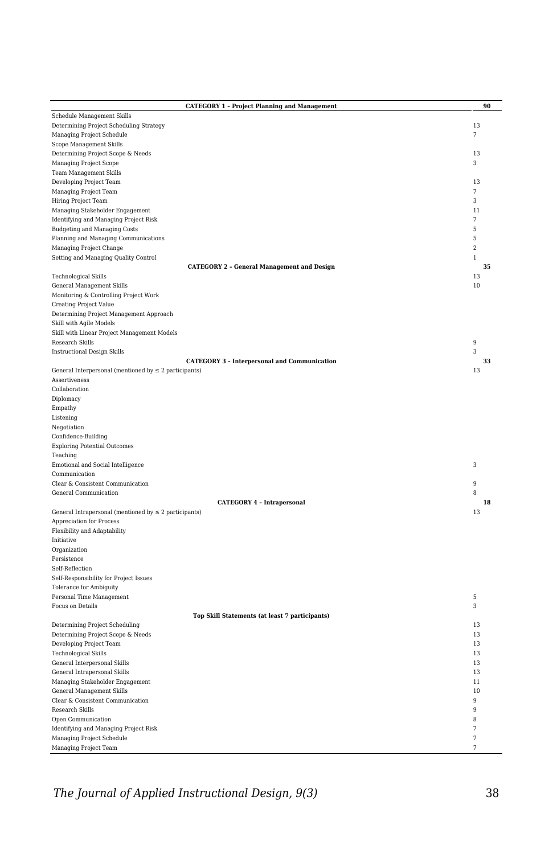|                                                                          | <b>CATEGORY 1 - Project Planning and Management</b> | 90                  |
|--------------------------------------------------------------------------|-----------------------------------------------------|---------------------|
| Schedule Management Skills                                               |                                                     |                     |
| Determining Project Scheduling Strategy                                  |                                                     | 13                  |
| Managing Project Schedule                                                |                                                     | 7                   |
| Scope Management Skills                                                  |                                                     |                     |
| Determining Project Scope & Needs                                        |                                                     | 13                  |
| Managing Project Scope                                                   |                                                     | 3                   |
| <b>Team Management Skills</b>                                            |                                                     |                     |
| Developing Project Team                                                  |                                                     | 13<br>7             |
| Managing Project Team<br>Hiring Project Team                             |                                                     | 3                   |
| Managing Stakeholder Engagement                                          |                                                     | 11                  |
| Identifying and Managing Project Risk                                    |                                                     | $\overline{\tau}$   |
| <b>Budgeting and Managing Costs</b>                                      |                                                     | $\sqrt{5}$          |
| Planning and Managing Communications                                     |                                                     | 5                   |
| Managing Project Change                                                  |                                                     | $\sqrt{2}$          |
| Setting and Managing Quality Control                                     |                                                     | $\mathbf{1}$        |
|                                                                          | <b>CATEGORY 2 - General Management and Design</b>   | 35                  |
| Technological Skills                                                     |                                                     | 13                  |
| General Management Skills                                                |                                                     | 10                  |
| Monitoring & Controlling Project Work                                    |                                                     |                     |
| <b>Creating Project Value</b><br>Determining Project Management Approach |                                                     |                     |
| Skill with Agile Models                                                  |                                                     |                     |
| Skill with Linear Project Management Models                              |                                                     |                     |
| Research Skills                                                          |                                                     | 9                   |
| <b>Instructional Design Skills</b>                                       |                                                     | 3                   |
|                                                                          | <b>CATEGORY 3 - Interpersonal and Communication</b> | 33                  |
| General Interpersonal (mentioned by $\leq 2$ participants)               |                                                     | 13                  |
| Assertiveness                                                            |                                                     |                     |
| Collaboration                                                            |                                                     |                     |
| Diplomacy                                                                |                                                     |                     |
| Empathy                                                                  |                                                     |                     |
| Listening<br>Negotiation                                                 |                                                     |                     |
| Confidence-Building                                                      |                                                     |                     |
| <b>Exploring Potential Outcomes</b>                                      |                                                     |                     |
| Teaching                                                                 |                                                     |                     |
| Emotional and Social Intelligence                                        |                                                     | 3                   |
| Communication                                                            |                                                     |                     |
| Clear & Consistent Communication                                         |                                                     | 9                   |
| General Communication                                                    |                                                     | 8                   |
|                                                                          | <b>CATEGORY 4 - Intrapersonal</b>                   | 18                  |
| General Intrapersonal (mentioned by $\leq 2$ participants)               |                                                     | 13                  |
| Appreciation for Process<br>Flexibility and Adaptability                 |                                                     |                     |
| Initiative                                                               |                                                     |                     |
| Organization                                                             |                                                     |                     |
| Persistence                                                              |                                                     |                     |
| Self-Reflection                                                          |                                                     |                     |
| Self-Responsibility for Project Issues                                   |                                                     |                     |
| Tolerance for Ambiguity                                                  |                                                     |                     |
| Personal Time Management                                                 |                                                     | $\sqrt{5}$          |
| Focus on Details                                                         |                                                     | 3                   |
| Determining Project Scheduling                                           | Top Skill Statements (at least 7 participants)      | 13                  |
| Determining Project Scope & Needs                                        |                                                     | 13                  |
| Developing Project Team                                                  |                                                     | 13                  |
| Technological Skills                                                     |                                                     | 13                  |
| General Interpersonal Skills                                             |                                                     | 13                  |
| General Intrapersonal Skills                                             |                                                     | 13                  |
| Managing Stakeholder Engagement                                          |                                                     | 11                  |
| General Management Skills                                                |                                                     | 10                  |
| Clear & Consistent Communication                                         |                                                     | $\overline{9}$      |
| <b>Research Skills</b>                                                   |                                                     | $\overline{9}$      |
| Open Communication                                                       |                                                     | 8<br>$\overline{7}$ |
| Identifying and Managing Project Risk<br>Managing Project Schedule       |                                                     | $\overline{7}$      |
| Managing Project Team                                                    |                                                     | $\overline{7}$      |
|                                                                          |                                                     |                     |

*The Journal of Applied Instructional Design, 9(3)* 38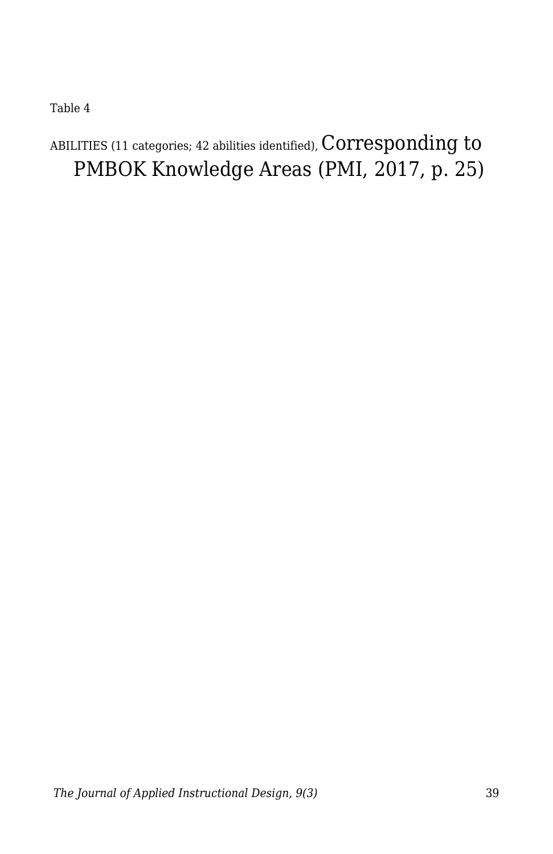Table 4

## ABILITIES (11 categories; 42 abilities identified),  $\rm Corresponding$  to PMBOK Knowledge Areas (PMI, 2017, p. 25)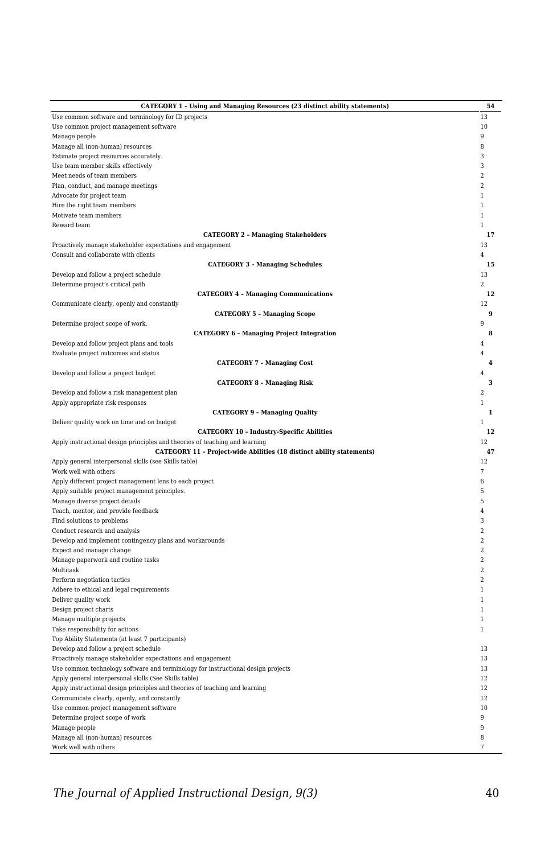| CATEGORY 1 - Using and Managing Resources (23 distinct ability statements)       | 54                      |
|----------------------------------------------------------------------------------|-------------------------|
| Use common software and terminology for ID projects                              | 13                      |
| Use common project management software                                           | 10                      |
| Manage people                                                                    | $\overline{9}$          |
| Manage all (non-human) resources                                                 | 8                       |
| Estimate project resources accurately.                                           | 3                       |
| Use team member skills effectively                                               | 3                       |
| Meet needs of team members                                                       | $\mathcal{D}$           |
| Plan, conduct, and manage meetings                                               | $\overline{2}$          |
| Advocate for project team                                                        | 1                       |
| Hire the right team members                                                      | $\mathbf{1}$            |
| Motivate team members                                                            | 1                       |
| Reward team                                                                      |                         |
| <b>CATEGORY 2 - Managing Stakeholders</b>                                        | 17                      |
| Proactively manage stakeholder expectations and engagement                       | 13                      |
| Consult and collaborate with clients                                             | $\overline{4}$          |
| <b>CATEGORY 3 - Managing Schedules</b>                                           | 15                      |
|                                                                                  | 13                      |
| Develop and follow a project schedule                                            |                         |
| Determine project's critical path                                                | $\overline{2}$          |
| <b>CATEGORY 4 - Managing Communications</b>                                      | 12                      |
| Communicate clearly, openly and constantly                                       | 12                      |
| <b>CATEGORY 5 - Managing Scope</b>                                               | 9                       |
| Determine project scope of work.                                                 | 9                       |
| <b>CATEGORY 6 - Managing Project Integration</b>                                 | 8                       |
| Develop and follow project plans and tools                                       | 4                       |
| Evaluate project outcomes and status                                             | 4                       |
| <b>CATEGORY 7 - Managing Cost</b>                                                | $\overline{4}$          |
| Develop and follow a project budget                                              | $\Delta$                |
| <b>CATEGORY 8 - Managing Risk</b>                                                | 3                       |
| Develop and follow a risk management plan                                        | $\overline{2}$          |
| Apply appropriate risk responses                                                 | $\mathbf{1}$            |
| <b>CATEGORY 9 - Managing Quality</b>                                             | $\mathbf{1}$            |
| Deliver quality work on time and on budget                                       | 1                       |
| <b>CATEGORY 10 - Industry-Specific Abilities</b>                                 | 12                      |
| Apply instructional design principles and theories of teaching and learning      | 12                      |
| CATEGORY 11 - Project-wide Abilities (18 distinct ability statements)            | 47                      |
| Apply general interpersonal skills (see Skills table)                            | 12                      |
| Work well with others                                                            | 7                       |
| Apply different project management lens to each project                          | 6                       |
|                                                                                  | 5                       |
| Apply suitable project management principles.                                    | 5                       |
| Manage diverse project details                                                   |                         |
| Teach, mentor, and provide feedback                                              | $\overline{4}$          |
| Find solutions to problems                                                       | 3                       |
| Conduct research and analysis                                                    | $\mathcal{D}$           |
| Develop and implement contingency plans and workarounds                          | $\mathcal{D}$           |
| Expect and manage change                                                         | $\overline{2}$          |
| Manage paperwork and routine tasks                                               | $\overline{2}$          |
| Multitask                                                                        | $\overline{a}$          |
| Perform negotiation tactics                                                      | $\overline{\mathbf{2}}$ |
| Adhere to ethical and legal requirements                                         | 1                       |
| Deliver quality work                                                             | $\mathbf{1}$            |
| Design project charts                                                            | 1                       |
| Manage multiple projects                                                         | 1                       |
| Take responsibility for actions                                                  | 1                       |
| Top Ability Statements (at least 7 participants)                                 |                         |
| Develop and follow a project schedule                                            | 13                      |
| Proactively manage stakeholder expectations and engagement                       | 13                      |
| Use common technology software and terminology for instructional design projects | 13                      |
| Apply general interpersonal skills (See Skills table)                            | 12                      |
| Apply instructional design principles and theories of teaching and learning      | 12                      |
| Communicate clearly, openly, and constantly                                      | 12                      |
| Use common project management software                                           | 10                      |
|                                                                                  | 9                       |
| Determine project scope of work                                                  | 9                       |
| Manage people                                                                    |                         |
| Manage all (non-human) resources                                                 | 8                       |
| Work well with others                                                            | 7                       |